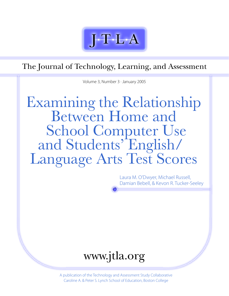

The Journal of Technology, Learning, and Assessment

Volume 3, Number 3 · January 2005

# Examining the Relationship<br>Between Home and<br>School Computer Use and Students' English/ Language Arts Test Scores

Laura M. O'Dwyer, Michael Russell, Damian Bebell, & Kevon R. Tucker-Seeley



A publication of the Technology and Assessment Study Collaborative Caroline A. & Peter S. Lynch School of Education, Boston College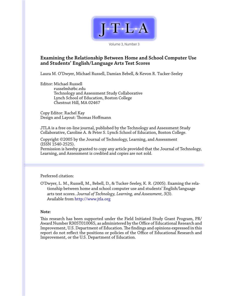

Volume 3, Number 3

# **Examining the Relationship Between Home and School Computer Use and Students' English/Language Arts Test Scores**

Laura M. O'Dwyer, Michael Russell, Damian Bebell, & Kevon R. Tucker-Seeley

Editor: Michael Russell russelmh@bc.edu Technology and Assessment Study Collaborative Lynch School of Education, Boston College Chestnut Hill, MA 02467

Copy Editor: Rachel Kay Design and Layout: Thomas Hoffmann

JTLA is a free on-line journal, published by the Technology and Assessment Study Collaborative, Caroline A. & Peter S. Lynch School of Education, Boston College.

Copyright ©2005 by the Journal of Technology, Learning, and Assessment (ISSN 1540-2525).

Permission is hereby granted to copy any article provided that the Journal of Technology, Learning, and Assessment is credited and copies are not sold.

## Preferred citation:

O'Dwyer, L. M., Russell, M., Bebell, D., & Tucker-Seeley, K. R. (2005). Examing the relationship between home and school computer use and students' English/language arts test scores. *Journal of Technology, Learning, and Assessment, 3*(3). Available from <http://www.jtla.org>

#### **Note:**

This research has been supported under the Field Initiated Study Grant Program, PR/ Award Number R305T010065, as administered by the Office of Educational Research and Improvement, U.S. Department of Education. The findings and opinions expressed in this report do not reflect the positions or policies of the Office of Educational Research and Improvement, or the U.S. Department of Education.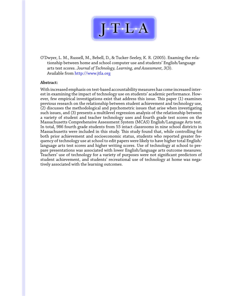

O'Dwyer, L. M., Russell, M., Bebell, D., & Tucker-Seeley, K. R. (2005). Examing the relationship between home and school computer use and students' English/language arts test scores. *Journal of Technology, Learning, and Assessment, 3*(3). Available from <http://www.jtla.org>

#### **Abstract:**

With increased emphasis on test-based accountability measures has come increased interest in examining the impact of technology use on students' academic performance. However, few empirical investigations exist that address this issue. This paper (1) examines previous research on the relationship between student achievement and technology use, (2) discusses the methodological and psychometric issues that arise when investigating such issues, and (3) presents a multilevel regression analysis of the relationship between a variety of student and teacher technology uses and fourth grade test scores on the Massachusetts Comprehensive Assessment System (MCAS) English/Language Arts test. In total, 986 fourth grade students from 55 intact classrooms in nine school districts in Massachusetts were included in this study. This study found that, while controlling for both prior achievement and socioeconomic status, students who reported greater frequency of technology use at school to edit papers were likely to have higher total English/ language arts test scores and higher writing scores. Use of technology at school to prepare presentations was associated with lower English/language arts outcome measures. Teachers' use of technology for a variety of purposes were not significant predictors of student achievement, and students' recreational use of technology at home was negatively associated with the learning outcomes.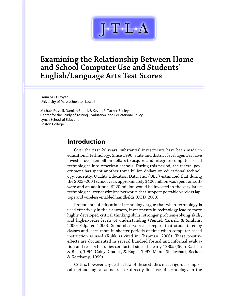

# **Examining the Relationship Between Home and School Computer Use and Students' English/Language Arts Test Scores**

Laura M. O'Dwyer University of Massachusetts, Lowell

Michael Russell, Damian Bebell, & Kevon R. Tucker-Seeley Center for the Study of Testing, Evaluation, and Educational Policy Lynch School of Education Boston College

# **Introduction**

Over the past 20 years, substantial investments have been made in educational technology. Since 1996, state and district level agencies have invested over ten billion dollars to acquire and integrate computer-based technologies into American schools. During this period, the federal government has spent another three billion dollars on educational technology. Recently, Quality Education Data, Inc. (QED) estimated that during the 2003–2004 school year, approximately \$400 million was spent on software and an additional \$220 million would be invested in the very latest technological trend: wireless networks that support portable wireless laptops and wireless-enabled handhelds (QED, 2003).

Proponents of educational technology argue that when technology is used effectively in the classroom, investments in technology lead to more highly developed critical thinking skills, stronger problem-solving skills, and higher-order levels of understanding (Penuel, Yarnell, & Simkins, 2000; Salpeter, 2000). Some observers also report that students enjoy classes and learn more in shorter periods of time when computer-based instruction is used (Kulik as cited in Chapman, 2000). These positive effects are documented in several hundred formal and informal evaluation and research studies conducted since the early 1980s (Sivin-Kachala & Bialo, 1994; Coley, Cradler, & Engel, 1997; Mann, Shakeshaft, Becker, & Kottkamp, 1999).

Critics, however, argue that few of these studies meet rigorous empirical methodological standards or directly link use of technology in the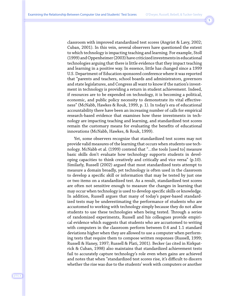classroom with improved standardized test scores (Angrist & Lavy, 2002; Cuban, 2001). In this vein, several observers have questioned the extent to which technology is impacting teaching and learning. For example, Stoll (1999) and Oppenheimer (2003) have criticized investments in educational technologies arguing that there is little evidence that they impact teaching and learning in a positive way. In essence, little has changed since a 1999 U.S. Department of Education sponsored conference where it was reported that "parents and teachers, school boards and administrators, governors and state legislatures, and Congress all want to know if the nation's investment in technology is providing a return in student achievement. Indeed, if resources are to be expended on technology, it is becoming a political, economic, and public policy necessity to demonstrate its vital effectiveness" (McNabb, Hawkes & Rouk, 1999, p. 1). In today's era of educational accountability there have been an increasing number of calls for empirical research-based evidence that examines how these investments in technology are impacting teaching and learning, and standardized test scores remain the customary means for evaluating the benefits of educational innovations (McNabb, Hawkes, & Rouk, 1999).

Yet, some observers recognize that standardized test scores may not provide valid measures of the learning that occurs when students use technology. McNabb et al. (1999) contend that "…the tools [used to] measure basic skills don't evaluate how technology supports students in developing capacities to think creatively and critically and vice versa" (p.10). Similarly, Russell (2002) argued that most standardized tests attempt to measure a domain broadly, yet technology is often used in the classroom to develop a specific skill or information that may be tested by just one or two items on a standardized test. As a result, standardized test scores are often not sensitive enough to measure the changes in learning that may occur when technology is used to develop specific skills or knowledge. In addition, Russell argues that many of today's paper-based standardized tests may be underestimating the performance of students who are accustomed to working with technology simply because they do not allow students to use these technologies when being tested. Through a series of randomized experiments, Russell and his colleagues provide empirical evidence which suggests that students who are accustomed to writing with computers in the classroom perform between 0.4 and 1.1 standard deviations higher when they are allowed to use a computer when performing tests that require them to compose written responses (Russell, 1999; Russell & Haney, 1997; Russell & Plati, 2001). Becker (as cited in Kirkpatrick & Cuban, 1998) also maintains that standardized achievement tests fail to accurately capture technology's role even when gains are achieved and notes that when "standardized test scores rise, it's difficult to discern whether the rise was due to the students' work with computers or another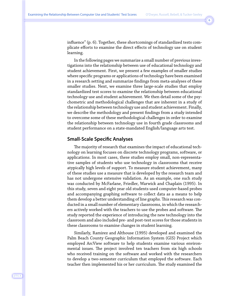influence" (p. 6). Together, these shortcomings of standardized tests complicate efforts to examine the direct effects of technology use on student learning.

In the following pages we summarize a small number of previous investigations into the relationship between use of educational technology and student achievement. First, we present a few examples of smaller studies where specific programs or applications of technology have been examined in a research setting and summarize findings from meta-analyses of these smaller studies. Next, we examine three large-scale studies that employ standardized test scores to examine the relationship between educational technology use and student achievement. We then detail some of the psychometric and methodological challenges that are inherent in a study of the relationship between technology use and student achievement. Finally, we describe the methodology and present findings from a study intended to overcome some of these methodological challenges in order to examine the relationship between technology use in fourth grade classrooms and student performance on a state-mandated English/language arts test.

#### **Small-Scale Specific Analyses**

The majority of research that examines the impact of educational technology on learning focuses on discrete technology programs, software, or applications. In most cases, these studies employ small, non-representative samples of students who use technology in classrooms that receive atypically high levels of support. To measure student achievement, many of these studies use a measure that is developed by the research team and has not undergone extensive validation. As an example, one such study was conducted by McFarlane, Friedler, Warwick and Chaplain (1995). In this study, seven and eight year old students used computer-based probes and accompanying graphing software to collect data as a means to help them develop a better understanding of line graphs. This research was conducted in a small number of elementary classrooms, in which the researchers actively worked with the teachers to use the probes and software. The study reported the experience of introducing the new technology into the classroom and also included pre- and post-test scores for those students in these classrooms to examine changes in student learning.

Similarly, Ramirez and Althouse (1995) developed and examined the Palm Beach County Geographic Information System (GIS) Project which employed ArcView software to help students examine various environmental issues. The project involved ten teachers from six high schools who received training on the software and worked with the researchers to develop a two-semester curriculum that employed the software. Each teacher then implemented his or her curriculum. The study examined the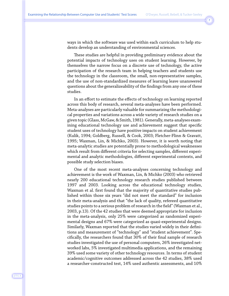ways in which the software was used within each curriculum to help students develop an understanding of environmental sciences.

These studies are helpful in providing preliminary evidence about the potential impacts of technology uses on student learning. However, by themselves the narrow focus on a discrete use of technology, the active participation of the research team in helping teachers and students use the technology in the classroom, the small, non-representative samples, and the use of non-standardized measures of learning leave unanswered questions about the generalizeability of the findings from any one of these studies.

In an effort to estimate the effects of technology on learning reported across this body of research, several meta-analyses have been performed. Meta-analyses are particularly valuable for summarizing the methodological properties and variations across a wide variety of research studies on a given topic (Glass, McGaw, & Smith, 1981). Generally, meta-analyses examining educational technology use and achievement suggest that specific student uses of technology have positive impacts on student achievement (Kulik, 1994; Goldberg, Russell, & Cook, 2003; Fletcher-Flinn & Gravatt, 1995; Waxman, Lin, & Michko, 2003). However, it is worth noting that meta-analytic studies are potentially prone to methodological weaknesses which result from different criteria for selecting samples, different experimental and analytic methodologies, different experimental contexts, and possible study selection biases.

One of the most recent meta-analyses concerning technology and achievement is the work of Waxman, Lin, & Michko (2003) who retrieved nearly 200 educational technology research studies published between 1997 and 2003. Looking across the educational technology studies, Waxman et al. first found that the majority of quantitative studies published within those six years "did not meet the standard" for inclusion in their meta-analysis and that "the lack of quality, refereed quantitative studies points to a serious problem of research in the field" (Waxman et al., 2003, p.13). Of the 42 studies that were deemed appropriate for inclusion in the meta-analysis, only 25% were categorized as randomized experimental designs and 67% were categorized as quasi-experimental designs. Similarly, Waxman reported that the studies varied widely in their definitions and measurement of "technology" and "student achievement". Specifically, the researchers found that 30% of their final sample of research studies investigated the use of personal computers, 26% investigated networked labs, 5% investigated multimedia applications, and the remaining 39% used some variety of other technology resources. In terms of student academic/cognitive outcomes addressed across the 42 studies, 38% used a researcher-constructed test, 14% used authentic assessments, and 10%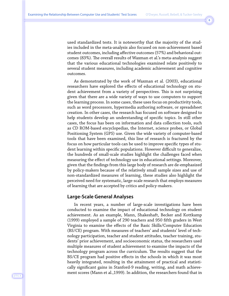used standardized tests. It is noteworthy that the majority of the studies included in the meta-analysis also focused on non-achievement based student outcomes, including affective outcomes (57%) and behavioral outcomes (83%). The overall results of Waxman et al.'s meta-analysis suggest that the various educational technologies examined relate positively to several student measures, including academic achievement and cognitive outcomes.

As demonstrated by the work of Waxman et al. (2003), educational researchers have explored the effects of educational technology on student achievement from a variety of perspectives. This is not surprising given that there are a wide variety of ways to use computers to support the learning process. In some cases, these uses focus on productivity tools, such as word processors, hypermedia authoring software, or spreadsheet creation. In other cases, the research has focused on software designed to help students develop an understanding of specific topics. In still other cases, the focus has been on information and data collection tools, such as CD ROM-based encyclopedias, the Internet, science probes, or Global Positioning System (GPS) use. Given the wide variety of computer-based tools that have been examined, this line of research is fractured by the focus on how particular tools can be used to improve specific types of student learning within specific populations. However difficult to generalize, the hundreds of small-scale studies highlight the challenges faced when measuring the effect of technology use in educational settings. Moreover, given that the findings from this large body of research are de-emphasized by policy-makers because of the relatively small sample sizes and use of non-standardized measures of learning, these studies also highlight the perceived need for systematic, large-scale research that employs measures of learning that are accepted by critics and policy-makers.

## **Large-Scale General Analyses**

In recent years, a number of large-scale investigations have been conducted to examine the impact of educational technology on student achievement. As an example, Mann, Shakeshaft, Becker and Kottkamp (1999) employed a sample of 290 teachers and 950 fifth graders in West Virginia to examine the effects of the Basic Skills/Computer Education (BS/CE) program. With measures of teachers' and students' level of technology participation, teacher and student attitudes, teacher training, students' prior achievement, and socioeconomic status, the researchers used multiple measures of student achievement to examine the impacts of the technology program across the curriculum. The results suggest that the BS/CE program had positive effects in the schools in which it was most heavily integrated, resulting in the attainment of practical and statistically significant gains in Stanford-9 reading, writing, and math achievement scores (Mann et al.,1999). In addition, the researchers found that in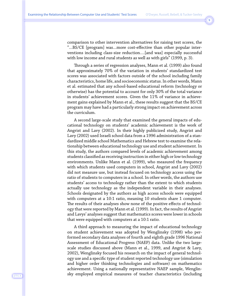comparison to other intervention alternatives for raising test scores, the "…BS/CE [program] was…more cost-effective than other popular interventions including class-size reduction….[and was] especially successful with low income and rural students as well as with girls" (1999, p. 3).

Through a series of regression analyses, Mann et al. (1999) also found that approximately 70% of the variation in students' standardized test scores was associated with factors outside of the school including family characteristics, home life, and socioeconomic status. In other words, Mann et al. estimated that any school-based educational reform (technology or otherwise) has the potential to account for only 30% of the total variance in students' achievement scores. Given the 11% of variance in achievement gains explained by Mann et al., these results suggest that the BS/CE program may have had a particularly strong impact on achievement across the curriculum.

A second large-scale study that examined the general impacts of educational technology on students' academic achievement is the work of Angrist and Lavy (2002). In their highly publicized study, Angrist and Lavy (2002) used Israeli school data from a 1996 administration of a standardized middle school Mathematics and Hebrew test to examine the relationship between educational technology use and student achievement. In this study, the authors compared levels of academic achievement among students classified as receiving instruction in either high or low technology environments. Unlike Mann et al. (1999), who measured the frequency with which students used computers in school, Angrist and Lavy (2002) did not measure use, but instead focused on technology access using the ratio of students to computers in a school. In other words, the authors use students' access to technology rather than the extent to which students actually use technology as the independent variable in their analyses. Schools designated by the authors as high access schools were equipped with computers at a 10:1 ratio, meaning 10 students share 1 computer. The results of their analyses show none of the positive effects of technology that were reported by Mann et al. (1999). In fact, the results of Angrist and Lavys' analyses suggest that mathematics scores were lower in schools that were equipped with computers at a 10:1 ratio.

A third approach to measuring the impact of educational technology on student achievement was adopted by Wenglinsky (1998) who performed secondary data analyses of fourth and eighth grade 1996 National Assessment of Educational Progress (NAEP) data. Unlike the two largescale studies discussed above (Mann et al., 1999, and Angrist & Lavy, 2002), Wenglinsky focused his research on the impact of general technology use and a specific type of student reported technology use (simulation and higher order thinking technologies and software) on mathematics achievement. Using a nationally representative NAEP sample, Wenglinsky employed empirical measures of teacher characteristics (including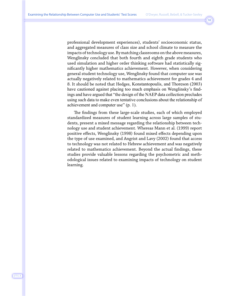professional development experiences), students' socioeconomic status, and aggregated measures of class size and school climate to measure the impacts of technology use. By matching classrooms on the above measures, Wenglinsky concluded that both fourth and eighth grade students who used simulation and higher order thinking software had statistically significantly higher mathematics achievement. However, when considering general student technology use, Wenglinsky found that computer use was actually negatively related to mathematics achievement for grades 4 and 8. It should be noted that Hedges, Konstantopoulis, and Thoreson (2003) have cautioned against placing too much emphasis on Wenglinsky's findings and have argued that "the design of the NAEP data collection precludes using such data to make even tentative conclusions about the relationship of achievement and computer use" (p. 1).

The findings from these large-scale studies, each of which employed standardized measures of student learning across large samples of students, present a mixed message regarding the relationship between technology use and student achievement. Whereas Mann et al. (1999) report positive effects, Wenglinsky (1998) found mixed effects depending upon the type of use examined, and Angrist and Lavy (2002) found that access to technology was not related to Hebrew achievement and was negatively related to mathematics achievement. Beyond the actual findings, these studies provide valuable lessons regarding the psychometric and methodological issues related to examining impacts of technology on student learning.

J·T·L·A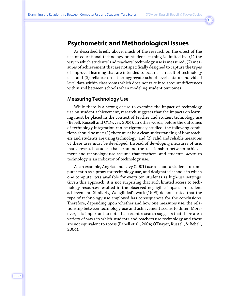# **Psychometric and Methodological Issues**

As described briefly above, much of the research on the effect of the use of educational technology on student learning is limited by: (1) the way in which students' and teachers' technology use is measured; (2) measures of achievement that are not specifically designed to capture the types of improved learning that are intended to occur as a result of technology use; and (3) reliance on either aggregate school level data or individual level data within classrooms which does not take into account differences within and between schools when modeling student outcomes.

#### **Measuring Technology Use**

While there is a strong desire to examine the impact of technology use on student achievement, research suggests that the impacts on learning must be placed in the context of teacher and student technology use (Bebell, Russell and O'Dwyer, 2004). In other words, before the outcomes of technology integration can be rigorously studied, the following conditions should be met: (1) there must be a clear understanding of how teachers and students are using technology; and (2) valid and reliable measures of these uses must be developed. Instead of developing measures of use, many research studies that examine the relationship between achievement and technology use assume that teachers' and students' *access* to technology is an indicator of technology use.

As an example, Angrist and Lavy (2001) use a school's student-to-computer ratio as a proxy for technology use, and designated schools in which one computer was available for every ten students as high-use settings. Given this approach, it is not surprising that such limited access to technology resources resulted in the observed negligible impact on student achievement. Similarly, Wenglinksi's work (1998) demonstrated that the type of technology use employed has consequences for the conclusions. Therefore, depending upon whether and how one measures use, the relationship between technology use and achievement seems to differ. Moreover, it is important to note that recent research suggests that there are a variety of ways in which students and teachers use technology and these are not equivalent to access (Bebell et al., 2004; O'Dwyer, Russell, & Bebell, 2004).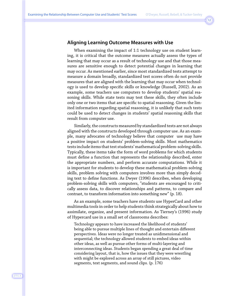## **Aligning Learning Outcome Measures with Use**

When examining the impact of 1:1 technology use on student learning, it is critical that the outcome measures actually assess the types of learning that may occur as a result of technology use and that those measures are sensitive enough to detect potential changes in learning that may occur. As mentioned earlier, since most standardized tests attempt to measure a domain broadly, standardized test scores often do not provide measures that are aligned with the learning that may occur when technology is used to develop specific skills or knowledge (Russell, 2002). As an example, some teachers use computers to develop students' spatial reasoning skills. While state tests may test these skills, they often include only one or two items that are specific to spatial reasoning. Given the limited information regarding spatial reasoning, it is unlikely that such tests could be used to detect changes in students' spatial reasoning skills that result from computer use.

Similarly, the constructs measured by standardized tests are not always aligned with the constructs developed through computer use. As an example, many advocates of technology believe that computer use may have a positive impact on students' problem-solving skills. Most mathematics tests include items that test students' mathematical problem-solving skills. Typically, these items take the form of word problems for which students must define a function that represents the relationship described, enter the appropriate numbers, and perform accurate computations. While it is important for students to develop these mathematical problem-solving skills, problem solving with computers involves more than simply decoding text to define functions. As Dwyer (1996) describes, when developing problem-solving skills with computers, "students are encouraged to critically assess data, to discover relationships and patterns, to compare and contrast, to transform information into something new" (p. 18).

As an example, some teachers have students use HyperCard and other multimedia tools in order to help students think strategically about how to assimilate, organize, and present information. As Tierney's (1996) study of Hypercard use in a small set of classrooms describes:

Technology appears to have increased the likelihood of students' being able to pursue multiple lines of thought and entertain different perspectives. Ideas were no longer treated as unidimensional and sequential; the technology allowed students to embed ideas within other ideas, as well as pursue other forms of multi-layering and interconnecting ideas. Students began spending a great deal of time considering layout, that is, how the issues that they were wrestling with might be explored across an array of still pictures, video segments, text segments, and sound clips. (p. 176)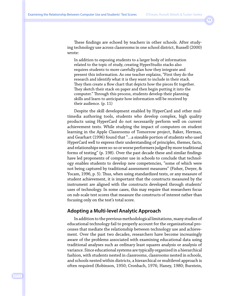These findings are echoed by teachers in other schools. After studying technology use across classrooms in one school district, Russell (2000) wrote:

In addition to exposing students to a larger body of information related to the topic of study, creating HyperStudio stacks also requires students to more carefully plan how they integrate and present this information. As one teacher explains, "First they do the research and identify what it is they want to include in their stack. They then create a flow chart that depicts how the pieces fit together. They sketch their stack on paper and then begin putting it into the computer." Through this process, students develop their planning skills and learn to anticipate how information will be received by their audience. (p. 11)

Despite the skill development enabled by HyperCard and other multimedia authoring tools, students who develop complex, high quality products using HyperCard do not necessarily perform well on current achievement tests. While studying the impact of computers on student learning in the Apple Classrooms of Tomorrow project, Baker, Herman, and Gearhart (1996) found that "…a sizeable portion of students who used HyperCard well to express their understanding of principles, themes, facts, and relationships were so-so or worse performers judged by more traditional forms of testing" (p. 198). Over the past decade these and similar findings have led proponents of computer use in schools to conclude that technology enables students to develop new competencies, "some of which were not being captured by traditional assessment measures" (Fisher, Dwyer, & Yocam, 1996, p. 5). Thus, when using standardized tests, or any measure of student achievement, it is important that the constructs measured by the instrument are aligned with the constructs developed through students' uses of technology. In some cases, this may require that researchers focus on sub-scale test scores that measure the constructs of interest rather than focusing only on the test's total score.

## **Adopting a Multi-level Analytic Approach**

In addition to the previous methodological limitations, many studies of educational technology fail to properly account for the organizational processes that mediate the relationship between technology use and achievement. Over the past two decades, researchers have become increasingly aware of the problems associated with examining educational data using traditional analyses such as ordinary least squares analysis or analysis of variance. Since educational systems are typically organized in a hierarchical fashion, with students nested in classrooms, classrooms nested in schools, and schools nested within districts, a hierarchical or multilevel approach is often required (Robinson, 1950; Cronbach, 1976; Haney, 1980; Burstein,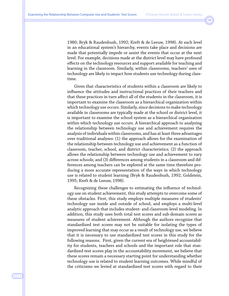1980; Bryk & Raudenbush, 1992; Kreft & de Leeuw, 1998). At each level in an educational system's hierarchy, events take place and decisions are made that potentially impede or assist the events that occur at the next level. For example, decisions made at the district level may have profound effects on the technology resources and support available for teaching and learning in the classroom. Similarly, within classrooms, teachers' uses of technology are likely to impact how students use technology during classtime.

Given that characteristics of students within a classroom are likely to influence the attitudes and instructional practices of their teachers and that these practices in turn affect all of the students in the classroom, it is important to examine the classroom as a hierarchical organization within which technology use occurs. Similarly, since decisions to make technology available in classrooms are typically made at the school or district level, it is important to examine the school system as a hierarchical organization within which technology use occurs. A hierarchical approach to analyzing the relationship between technology use and achievement requires the analysis of individuals within classrooms, and has at least three advantages over traditional analyses: (1) the approach allows for the examination of the relationship between technology use and achievement as a function of classroom, teacher, school, and district characteristics; (2) the approach allows the relationship between technology use and achievement to vary across schools; and (3) differences among students in a classroom and differences among teachers can be explored at the same time therefore producing a more accurate representation of the ways in which technology use is related to student learning (Bryk & Raudenbush, 1992; Goldstein, 1995; Kreft & de Leeuw, 1998).

Recognizing these challenges to estimating the influence of technology use on student achievement, this study attempts to overcome some of these obstacles. First, this study employs multiple measures of students' technology use inside and outside of school, and employs a multi-level analytic approach that includes student- and classroom-level modeling. In addition, this study uses both total test scores and sub-domain scores as measures of student achievement. Although the authors recognize that standardized test scores may not be suitable for isolating the types of improved learning that may occur as a result of technology use, we believe that it is necessary to use standardized test scores in this study for the following reasons. First, given the current era of heightened accountability for students, teachers and schools and the important role that standardized test scores play in the accountability movement, we believe that these scores remain a necessary starting point for understanding whether technology use is related to student learning outcomes. While mindful of the criticisms we levied at standardized test scores with regard to their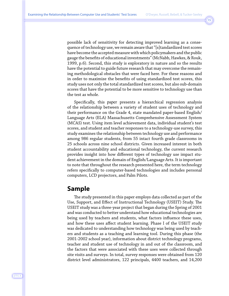possible lack of sensitivity for detecting improved learning as a consequence of technology use, we remain aware that "[s]tandardized test scores have become the accepted measure with which policymakers and the public gauge the benefits of educational investments" (McNabb, Hawkes, & Rouk, 1999, p.6). Second, this study is exploratory in nature and so the results have the potential to guide future research that may overcome the remaining methodological obstacles that were faced here. For these reasons and in order to maximize the benefits of using standardized test scores, this study uses not only the total standardized test scores, but also sub-domain scores that have the potential to be more sensitive to technology use than the test as whole.

Specifically, this paper presents a hierarchical regression analysis of the relationship between a variety of student uses of technology and their performance on the Grade 4, state mandated paper-based English/ Language Arts (ELA) Massachusetts Comprehensive Assessment System (MCAS) test. Using item level achievement data, individual student's test scores, and student and teacher responses to a technology-use survey, this study examines the relationship between technology use and performance among 986 regular students, from 55 intact fourth grade classrooms in 25 schools across nine school districts. Given increased interest in both student accountability and educational technology, the current research provides insight into how different types of technology use impact student achievement in the domain of English/Language Arts. It is important to note that throughout the research presented here, the term technology refers specifically to computer-based technologies and includes personal computers, LCD projectors, and Palm Pilots.

# **Sample**

The study presented in this paper employs data collected as part of the Use, Support, and Effect of Instructional Technology (USEIT) Study. The USEIT study was a three-year project that began during the Spring of 2001 and was conducted to better understand how educational technologies are being used by teachers and students, what factors influence these uses, and how these uses affect student learning. Phase I of the USEIT study was dedicated to understanding how technology was being used by teachers and students as a teaching and learning tool. During this phase (the 2001-2002 school year), information about district technology programs, teacher and student use of technology in and out of the classroom, and the factors that were associated with these uses were collected through site visits and surveys. In total, survey responses were obtained from 120 district level administrators, 122 principals, 4400 teachers, and 14,200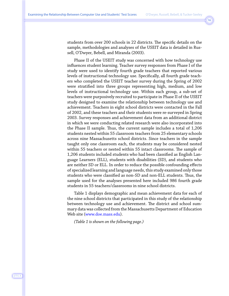students from over 200 schools in 22 districts. The specific details on the sample, methodologies and analyses of the USEIT data is detailed in Russell, O'Dwyer, Bebell, and Miranda (2003).

Phase II of the USEIT study was concerned with how technology use influences student learning. Teacher survey responses from Phase I of the study were used to identify fourth grade teachers that reported various levels of instructional technology use. Specifically, all fourth grade teachers who completed the USEIT teacher survey during the Spring of 2002 were stratified into three groups representing high, medium, and low levels of instructional technology use. Within each group, a sub-set of teachers were purposively recruited to participate in Phase II of the USEIT study designed to examine the relationship between technology use and achievement. Teachers in eight school districts were contacted in the Fall of 2002, and these teachers and their students were re-surveyed in Spring 2003. Survey responses and achievement data from an additional district in which we were conducting related research were also incorporated into the Phase II sample. Thus, the current sample includes a total of 1,206 students nested within 55 classroom teachers from 25 elementary schools across nine Massachusetts school districts. Since teachers in the sample taught only one classroom each, the students may be considered nested within 55 teachers or nested within 55 intact classrooms. The sample of 1,206 students included students who had been classified as English Language Learners (ELL), students with disabilities (SD), and students who are neither SD or ELL. In order to reduce the possible confounding effects of specialized learning and language needs, this study examined only those students who were classified as non-SD and non-ELL students. Thus, the sample used for the analyses presented here included 986 fourth grade students in 55 teachers/classrooms in nine school districts.

Table 1 displays demographic and mean achievement data for each of the nine school districts that participated in this study of the relationship between technology use and achievement. The district and school summary data was collected from the Massachusetts Department of Education Web site [\(www.doe.mass.edu\)](http://www.doe.mass.edu).

*(Table 1 is shown on the following page.)*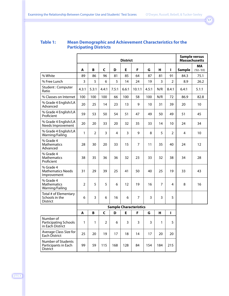## **Table 1: Mean Demographic and Achievement Characteristics for the Participating Districts**

|                                                               |                |                |              |       | <b>District</b> |                               |       |     |                |               | <b>Sample versus</b><br><b>Massachusetts</b> |
|---------------------------------------------------------------|----------------|----------------|--------------|-------|-----------------|-------------------------------|-------|-----|----------------|---------------|----------------------------------------------|
|                                                               | A              | В              | C            | D     | E               | F                             | G     | н   | г              | <b>Sample</b> | <b>MA</b><br>$(102 - 103)$                   |
| % White                                                       | 89             | 86             | 96           | 81    | 85              | 64                            | 87    | 81  | 91             | 84.3          | 75.1                                         |
| % Free Lunch                                                  | 3              | 5              | 6            | 5     | 14              | 24                            | 19    | 3   | $\overline{2}$ | 8.9           | 26.2                                         |
| Student: Computer<br>Ratio                                    | 4.3:1          | 5.3:1          | 4.4:1        | 7.5:1 | 6.6:1           | 10.1:1                        | 4.5:1 | N/R | 8.4:1          | 6.4:1         | 5.1:1                                        |
| % Classes on Internet                                         | 100            | 100            | 100          | 66    | 100             | 58                            | 100   | N/R | 72             | 86.9          | 82.8                                         |
| % Grade 4 English/LA<br>Advanced                              | 20             | 25             | 14           | 23    | 13              | 9                             | 10    | 31  | 39             | 20            | 10                                           |
| % Grade 4 English/LA<br>Proficient                            | 59             | 53             | 50           | 54    | 51              | 47                            | 49    | 50  | 49             | 51            | 45                                           |
| % Grade 4 English/LA<br>Needs Improvement                     | 20             | 20             | 33           | 20    | 32              | 35                            | 33    | 14  | 10             | 24            | 34                                           |
| % Grade 4 English/LA<br>Warning/Failing                       | 1              | $\overline{2}$ | 3            | 4     | 3               | 9                             | 8     | 5   | $\overline{2}$ | 4             | 10                                           |
| % Grade 4<br><b>Mathematics</b><br>Advanced                   | 28             | 30             | 20           | 33    | 15              | $\overline{7}$                | 11    | 35  | 40             | 24            | 12                                           |
| % Grade 4<br>Mathematics<br>Proficient                        | 38             | 35             | 36           | 36    | 32              | 23                            | 33    | 32  | 38             | 34            | 28                                           |
| % Grade 4<br><b>Mathematics Needs</b><br>Improvement          | 31             | 29             | 39           | 25    | 41              | 50                            | 40    | 25  | 19             | 33            | 43                                           |
| % Grade 4<br><b>Mathematics</b><br>Warning/Failing            | $\overline{2}$ | 5              | 5            | 6     | 12              | 19                            | 16    | 7   | 4              | 8             | 16                                           |
| Total # of Elementary<br>Schools in the<br>District           | 6              | 3              | 6            | 16    | 6               | $\overline{7}$                | 3     | 3   | 5              |               |                                              |
|                                                               |                |                |              |       |                 | <b>Sample Characteristics</b> |       |     |                |               |                                              |
|                                                               | A              | B              | $\mathsf{C}$ | D     | E               | F                             | G     | н   | г              |               |                                              |
| Number of<br><b>Participating Schools</b><br>in Each District | 1              | 1              | 2            | 6     | 3               | 3                             | 3     | 1   | 5              |               |                                              |
| Average Class Size for<br>Each District                       | 25             | 20             | 19           | 17    | 18              | 14                            | 17    | 20  | 20             |               |                                              |
| Number of Students<br>Participants in Each<br>District        | 99             | 59             | 115          | 168   | 128             | 84                            | 154   | 184 | 215            |               |                                              |

**District**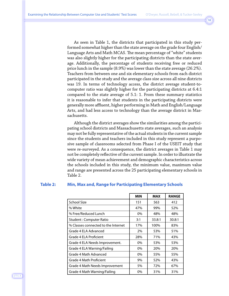As seen in Table 1, the districts that participated in this study performed somewhat higher than the state average on the grade four English/ Language Arts and Math MCAS. The mean percentage of "white" students was also slightly higher for the participating districts than the state average. Additionally, the percentage of students receiving free or reduced price lunch in the sample (8.9%) was lower than the state average (26.2%). Teachers from between one and six elementary schools from each district participated in the study and the average class size across all nine districts was 19. In terms of technology access, the district average student-tocomputer ratio was slightly higher for the participating districts at 6.4:1 compared to the state average of 5.1: 1. From these summary statistics it is reasonable to infer that students in the participating districts were generally more affluent, higher performing in Math and English/Language Arts, and had less access to technology than the average district in Massachusetts.

Although the district averages show the similarities among the participating school districts and Massachusetts state averages, such an analysis may not be fully representative of the actual students in the current sample since the students and teachers included in this study represent a purposive sample of classrooms selected from Phase I of the USEIT study that were re-surveyed. As a consequence, the district averages in Table 1 may not be completely reflective of the current sample. In order to illustrate the wide variety of mean achievement and demographic characteristics across the schools included in this study, the minimum value, maximum value and range are presented across the 25 participating elementary schools in Table 2.

#### **Table 2: Min, Max and, Range for Participating Elementary Schools**

|                                     | <b>MIN</b> | <b>MAX</b> | <b>RANGE</b> |
|-------------------------------------|------------|------------|--------------|
| <b>School Size</b>                  | 151        | 563        | 412          |
| % White                             | 47%        | 99%        | 52%          |
| % Free/Reduced Lunch                | $0\%$      | 48%        | 48%          |
| Student: Computer Ratio             | 3:1        | 33.8:1     | 30.8:1       |
| % Classes connected to the Internet | 17%        | 100%       | 83%          |
| Grade 4 ELA Advanced                | 2%         | 53%        | 51%          |
| Grade 4 ELA Proficient              | 28%        | 71%        | 43%          |
| Grade 4 ELA Needs Improvement.      | 0%         | 53%        | 53%          |
| Grade 4 ELA Warning/Failing         | 0%         | 20%        | 20%          |
| Grade 4 Math Advanced               | 0%         | 55%        | 55%          |
| Grade 4 Math Proficient             | 9%         | 52%        | 43%          |
| Grade 4 Math Needs Improvement      | 5%         | 72%        | 67%          |
| Grade 4 Math Warning/Failing        | 0%         | 31%        | 31%          |

J·T·L·A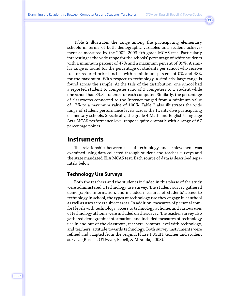Table 2 illustrates the range among the participating elementary schools in terms of both demographic variables and student achievement as measured by the 2002–2003 4th grade MCAS test. Particularly interesting is the wide range for the schools' percentage of white students with a minimum percent of 47% and a maximum percent of 99%. A similar range is found for the percentage of students per school who receive free or reduced price lunches with a minimum percent of 0% and 48% for the maximum. With respect to technology, a similarly large range is found across the sample. At the tails of the distribution, one school had a reported student to computer ratio of 3 computers to 1 student while one school had 33.8 students for each computer. Similarly, the percentage of classrooms connected to the Internet ranged from a minimum value of 17% to a maximum value of 100%. Table 2 also illustrates the wide range of student performance levels across the twenty-five participating elementary schools. Specifically, the grade 4 Math and English/Language Arts MCAS performance level range is quite dramatic with a range of 67 percentage points.

# **Instruments**

The relationship between use of technology and achievement was examined using data collected through student and teacher surveys and the state mandated ELA MCAS test. Each source of data is described separately below.

# **Technology Use Surveys**

Both the teachers and the students included in this phase of the study were administered a technology use survey. The student survey gathered demographic information, and included measures of students' access to technology in school, the types of technology use they engage in at school as well as uses across subject areas. In addition, measures of personal comfort levels with technology, access to technology at home, and various uses of technology at home were included on the survey. The teacher survey also gathered demographic information, and included measures of technology use in and out of the classroom, teachers' comfort level with technology, and teachers' attitude towards technology. Both survey instruments were refined and adapted from the original Phase I USEIT teacher and student surveys (Russell, O'Dwyer, Bebell, & Miranda, 2003).<sup>1</sup>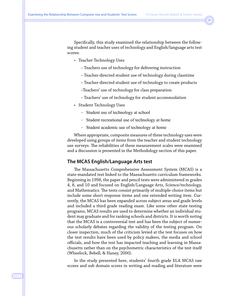Specifically, this study examined the relationship between the following student and teacher uses of technology and English/language arts test scores:

- Teacher Technology Uses
	- Teachers use of technology for delivering instruction
	- Teacher-directed student use of technology during classtime
	- Teacher-directed student use of technology to create products
	- –Teachers' use of technology for class preparation
	- Teachers' use of technology for student accommodation
- Student Technology Uses
	- Student use of technology at school
	- Student recreational use of technology at home
	- Student academic use of technology at home

Where appropriate, composite measures of these technology uses were developed using groups of items from the teacher and student technology use surveys. The reliabilities of these measurement scales were examined and a discussion is presented in the Methodology section of this paper.

#### **The MCAS English/Language Arts test**

The Massachusetts Comprehensive Assessment System (MCAS) is a state-mandated test linked to the Massachusetts curriculum frameworks. Beginning in 1998, the paper and pencil tests were administered in grades 4, 8, and 10 and focused on English/Language Arts, Science/technology, and Mathematics. The tests consist primarily of multiple-choice items but include some short response items and one extended writing item. Currently, the MCAS has been expanded across subject areas and grade levels and included a third grade reading exam. Like some other state testing programs, MCAS results are used to determine whether an individual student may graduate and for ranking schools and districts. It is worth noting that the MCAS is a controversial test and has been the subject of numerous scholarly debates regarding the validity of the testing program. On closer inspection, much of the criticism levied at the test focuses on how the test results have been used by policy makers, the media and school officials, and how the test has impacted teaching and learning in Massachusetts rather than on the psychometric characteristics of the test itself (Wheelock, Bebell, & Haney, 2000).

In the study presented here, students' fourth grade ELA MCAS raw scores and sub domain scores in writing and reading and literature were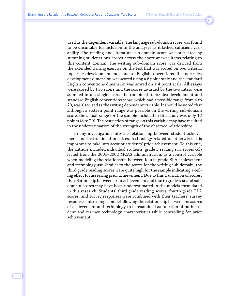used as the dependent variable. The language sub-domain score was found to be unsuitable for inclusion in the analyses as it lacked sufficient variability. The reading and literature sub-domain score was calculated by summing students raw scores across the short answer items relating to this content domain. The writing sub-domain score was derived from the extended writing exercise on the test that was scored on two criteria: topic/idea development and standard English conventions. The topic/idea development dimension was scored using a 6 point scale and the standard English conventions dimension was scored on a 4 point scale. All essays were scored by two raters and the scores awarded by the two raters were summed into a single score. The combined topic/idea development and standard English conventions score, which had a possible range from 4 to 20, was also used as the writing dependent variable. It should be noted that although a sixteen point range was possible on the writing sub-domain score, the actual range for the sample included in this study was only 12 points (8 to 20). The restriction of range on this variable may have resulted in the underestimation of the strength of the observed relationships.

In any investigation into the relationship between student achievement and instructional practices, technology-related or otherwise, it is important to take into account students' prior achievement. To this end, the authors included individual students' grade 3 reading raw scores collected from the 2001–2002 MCAS administration, as a control variable when modeling the relationship between fourth grade ELA achievement and technology use. Similar to the scores for the writing sub-domain, the third grade reading scores were quite high for the sample indicating a ceiling effect for assessing prior achievement. Due to this truncation of scores, the relationship between prior achievement and fourth grade test and subdomain scores may have been underestimated in the models formulated in this research. Students' third grade reading scores, fourth grade ELA scores, and survey responses were combined with their teachers' survey responses into a single model allowing the relationship between measures of achievement and technology to be examined as function of both student and teacher technology characteristics while controlling for prior achievement.

J·T·L·A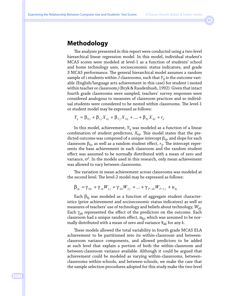# **Methodology**

The analyses presented in this report were conducted using a two-level hierarchical linear regression model. In this model, individual student's MCAS scores were modeled at level-1 as a function of students' school and home technology uses, socioeconomic status indicators, and grade 3 MCAS performance. The general hierarchical model assumes a random sample of i students within *J* classrooms, such that  $Y_{ij}$  is the outcome variable (English/language arts achievement in this case) for student i nested within teacher or classroom *j* (Bryk & Raudenbush, 1992). Given that intact fourth grade classrooms were sampled, teachers' survey responses were considered analogous to measures of classroom practices and so individual students were considered to be nested within classrooms. The level-1 or student model may be expressed as follows:

$$
Y_{ij} = \beta_{0j} + \beta_{1j} X_{1ij} + \beta_{2j} X_{2ij} + \dots + \beta_{kj} X_{kij} + r_{ij}
$$

In this model, achievement, *Y*ij was modeled as a function of a linear combination of student predictors,  $X_{kij}$ . This model states that the predicted outcome was composed of a unique intercept β*0j*, and slope for each classroom  $\beta_{ki}$ , as well as a random student effect,  $r_{ii}$ . The intercept represents the base achievement in each classroom and the random student effect was assumed to be normally distributed with a mean of zero and variance,  $\sigma^2$ . In the models used in this research, only mean achievement was allowed to vary between classrooms.

The variation in mean achievement across classrooms was modeled at the second level. The level-2 model may be expressed as follows:

$$
\beta_{kj} = \gamma_{0k} + \gamma_{1k} W_{1j} + \gamma_{2k} W_{2j} + \dots + \gamma_{P-k} W_{P-1j} + u_{kj}
$$

Each β*k*<sup>j</sup> was modeled as a function of aggregate student characteristics (prior achievement and socioeconomic status indicators) as well as measures of teachers' use of technology and beliefs about technology,  $W_{p\text{j}}$ . Each  $\gamma_{pk}$  represented the effect of the predictors on the outcome. Each classroom had a unique random effect,  $u_{ki}$ , which was assumed to be normally distributed with a mean of zero and variance  $\tau_{kk}$  for any  $k$ .

These models allowed the total variability in fourth grade MCAS ELA achievement to be partitioned into its within-classroom and betweenclassroom variance components, and allowed predictors to be added at each level that explain a portion of both the within-classroom and between-classroom variance available. Although it could be argued that achievement could be modeled as varying within-classrooms, betweenclassrooms within-schools, and between-schools, we make the case that the sample selection procedures adopted for this study make the two-level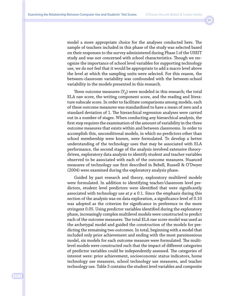model a more appropriate choice for the analyses conducted here. The sample of teachers included in this phase of the study was selected based on their responses to the survey administered during Phase I of the USEIT study and was not concerned with school characteristics. Though we recognize the importance of school level variables for supporting technology use, we do not feel that it would be appropriate to add a macro level above the level at which the sampling units were selected. For this reason, the between-classroom variability was confounded with the between-school variability in the models presented in this research.

Three outcome measures (*Yij*) were modeled in this research; the total ELA raw score, the writing component score, and the reading and literature subscale score. In order to facilitate comparisons among models, each of these outcome measures was standardized to have a mean of zero and a standard deviation of 1. The hierarchical regression analyses were carried out in a number of stages. When conducting any hierarchical analysis, the first step requires the examination of the amount of variability in the three outcome measures that exists within and between classrooms. In order to accomplish this, unconditional models, in which no predictors other than school membership were known, were formulated. To develop a better understanding of the technology uses that may be associated with ELA performance, the second stage of the analysis involved extensive theorydriven, exploratory data analysis to identify student and teacher variables observed to be associated with each of the outcome measures. Nuanced measures of technology use first described in Bebell, Russell & O'Dwyer (2004) were examined during the exploratory analysis phase.

Guided by past research and theory, exploratory multilevel models were formulated. In addition to identifying teacher/classroom level predictors, student level predictors were identified that were significantly associated with technology use at  $p \leq 0.1$ . Since the emphasis during this section of the analysis was on data exploration, a significance level of 0.10 was adopted as the criterion for significance in preference to the more stringent 0.05. Using predictor variables identified during the exploratory phase, increasingly complex multilevel models were constructed to predict each of the outcome measures. The total ELA raw score model was used as the archetypal model and guided the construction of the models for predicting the remaining two outcomes. In total, beginning with a model that included only prior achievement and ending with the most parsimonious model, six models for each outcome measure were formulated. The multilevel models were constructed such that the impact of different categories of predictor variables could be independently assessed. The categories of interest were: prior achievement, socioeconomic status indicators, home technology use measures, school technology use measures, and teacher technology use. Table 3 contains the student level variables and composite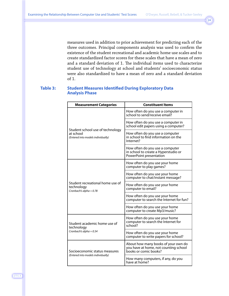measures used in addition to prior achievement for predicting each of the three outcomes. Principal components analysis was used to confirm the existence of the student recreational and academic home use scales and to create standardized factor scores for these scales that have a mean of zero and a standard deviation of 1. The individual items used to characterize student use of technology at school and students' socioeconomic status were also standardized to have a mean of zero and a standard deviation of 1.

#### **Table 3: Student Measures Identified During Exploratory Data Analysis Phase**

| <b>Measurement Categories</b>                                                       | <b>Constituent Items</b>                                                                              |
|-------------------------------------------------------------------------------------|-------------------------------------------------------------------------------------------------------|
|                                                                                     | How often do you use a computer in<br>school to send/receive email?                                   |
|                                                                                     | How often do you use a computer in<br>school edit papers using a computer?                            |
| Student school use of technology<br>at school<br>(Entered into models individually) | How often do you use a computer<br>in school to find information on the<br>Internet?                  |
|                                                                                     | How often do you use a computer<br>in school to create a Hyperstudio or<br>PowerPoint presentation    |
|                                                                                     | How often do you use your home<br>computer to play games?                                             |
|                                                                                     | How often do you use your home<br>computer to chat/instant message?                                   |
| Student recreational home use of<br>technology<br>Cronbach's alpha = $0.78$         | How often do you use your home<br>computer to email?                                                  |
|                                                                                     | How often do you use your home<br>computer to search the Internet for fun?                            |
|                                                                                     | How often do you use your home<br>computer to create Mp3/music?                                       |
| Student academic home use of<br>technology                                          | How often do you use your home<br>computer to search the Internet for<br>school?                      |
| Cronbach's alpha = $0.54$                                                           | How often do you use your home<br>computer to write papers for school?                                |
| Socioeconomic status measures                                                       | About how many books of your own do<br>you have at home, not counting school<br>books or comic books? |
| (Entered into models individually)                                                  | How many computers, if any, do you<br>have at home?                                                   |

J·T·L·A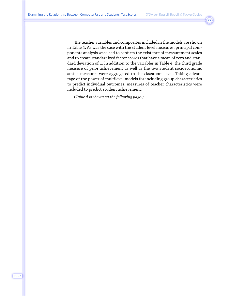The teacher variables and composites included in the models are shown in Table 4. As was the case with the student level measures, principal components analysis was used to confirm the existence of measurement scales and to create standardized factor scores that have a mean of zero and standard deviation of 1. In addition to the variables in Table 4, the third grade measure of prior achievement as well as the two student socioeconomic status measures were aggregated to the classroom level. Taking advantage of the power of multilevel models for including group characteristics to predict individual outcomes, measures of teacher characteristics were included to predict student achievement.

*(Table 4 is shown on the following page.)*

#### J·T·L·A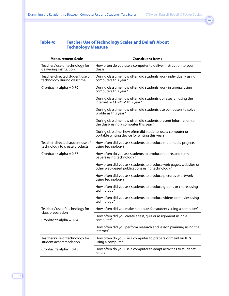## **Table 4: Teacher Use of Technology Scales and Beliefs About Technology Measure**

| <b>Measurement Scale</b>                                         | <b>Constituent Items</b>                                                                                           |
|------------------------------------------------------------------|--------------------------------------------------------------------------------------------------------------------|
| Teachers' use of technology for<br>delivering instruction        | How often do you use a computer to deliver instruction to your<br>class?                                           |
| Teacher-directed student use of<br>technology during classtime   | During classtime how often did students work individually using<br>computers this year?                            |
| Cronbach's alpha = $0.89$                                        | During classtime how often did students work in groups using<br>computers this year?                               |
|                                                                  | During classtime how often did students do research using the<br>internet or CD-ROM this year?                     |
|                                                                  | During classtime how often did students use computers to solve<br>problems this year?                              |
|                                                                  | During classtime how often did students present information to<br>the class/ using a computer this year?           |
|                                                                  | During classtime, how often did students use a computer or<br>portable writing device for writing this year?       |
| Teacher-directed student use of<br>technology to create products | How often did you ask students to produce multimedia projects<br>using technology?                                 |
| Cronbach's alpha = $0.77$                                        | How often do you ask students to produce reports and term<br>papers using technology?                              |
|                                                                  | How often did you ask students to produce web pages, websites or<br>other web-based publications using technology? |
|                                                                  | How often did you ask students to produce pictures or artwork<br>using technology?                                 |
|                                                                  | How often did you ask students to produce graphs or charts using<br>technology?                                    |
|                                                                  | How often did you ask students to produce videos or movies using<br>technology?                                    |
| Teachers' use of technology for                                  | How often did you make handouts for students using a computer?                                                     |
| class preparation<br>Cronbach's alpha = $0.64$                   | How often did you create a test, quiz or assignment using a<br>computer?                                           |
|                                                                  | How often did you perform research and lesson planning using the<br>internet?                                      |
| Teachers' use of technology for<br>student accommodation         | How often do you use a computer to prepare or maintain IEPs<br>using a computer                                    |
| Cronbach's alpha = $0.45$                                        | How often do you use a computer to adapt activities to students'<br>needs                                          |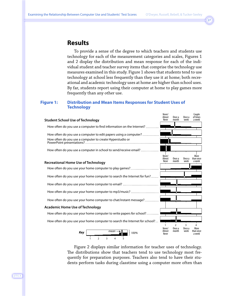# **Results**

To provide a sense of the degree to which teachers and students use technology for each of the measurement categories and scales, Figures 1 and 2 display the distribution and mean response for each of the individual student and teacher survey items that comprise the technology use measures examined in this study. Figure 1 shows that students tend to use technology at school less frequently than they use it at home; both recreational and academic technology uses at home are higher than school uses. By far, students report using their computer at home to play games more frequently than any other use.

#### **Figure 1: Distribution and Mean Items Responses for Student Uses of Technology**



Figure 2 displays similar information for teacher uses of technology. The distributions show that teachers tend to use technology most frequently for preparation purposes. Teachers also tend to have their students perform tasks during classtime using a computer more often than

J·T·L·A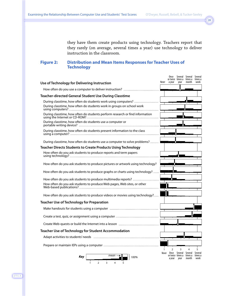they have them create products using technology. Teachers report that they rarely (on average, several times a year) use technology to deliver instruction in the classroom.

## **Figure 2: Distribution and Mean Items Responses for Teacher Uses of Technology**

|                                                                                | Never        | Once                                 |                          | Several Several<br>or twice times a times a<br>month | Several<br>times a<br>week |
|--------------------------------------------------------------------------------|--------------|--------------------------------------|--------------------------|------------------------------------------------------|----------------------------|
| Use of Technology for Delivering Instruction                                   |              | a year                               | year                     |                                                      |                            |
| How often do you use a computer to deliver instruction?                        |              |                                      |                          |                                                      |                            |
| <b>Teacher-directed General Student Use During Classtime</b>                   |              |                                      |                          |                                                      |                            |
| During classtime, how often do students work using computers?                  |              |                                      |                          |                                                      |                            |
| During classtime, how often do students work in groups on school work          |              |                                      |                          |                                                      |                            |
| During classtime, how often do students perform research or find information   |              |                                      |                          |                                                      |                            |
| During classtime, how often do students use a computer or                      |              |                                      |                          |                                                      |                            |
| During classtime, how often do students present information to the class       |              |                                      |                          |                                                      |                            |
| During classtime, how often do students use a computer to solve problems?      |              |                                      |                          |                                                      |                            |
| <b>Teacher Directs Students to Create Products Using Technology</b>            |              |                                      |                          |                                                      |                            |
| How often do you ask students to produce reports and term papers               |              |                                      |                          |                                                      |                            |
| How often do you ask students to produce pictures or artwork using technology? |              |                                      |                          |                                                      |                            |
| How often do you ask students to produce graphs or charts using technology?    |              |                                      |                          |                                                      |                            |
| How often do you ask students to produce multimedia reports?                   |              |                                      |                          |                                                      |                            |
| How often do you ask students to produce Web pages, Web sites, or other        |              |                                      |                          |                                                      |                            |
| How often do you ask students to produce videos or movies using technology?    |              |                                      |                          |                                                      |                            |
| <b>Teacher Use of Technology for Preparation</b>                               |              |                                      |                          |                                                      |                            |
|                                                                                |              |                                      |                          |                                                      |                            |
|                                                                                |              |                                      |                          |                                                      |                            |
|                                                                                |              |                                      |                          |                                                      |                            |
| <b>Teacher Use of Technology for Student Accommodation</b>                     |              |                                      |                          |                                                      |                            |
|                                                                                |              |                                      |                          |                                                      |                            |
|                                                                                | $\mathbf{1}$ | $\overline{2}$                       | 3                        |                                                      | 5                          |
| mean<br>Key<br>100%<br>$\overline{2}$<br>3                                     |              | Never Once Several Several<br>a year | or twice times a<br>year | times a<br>month                                     | Several<br>times a<br>week |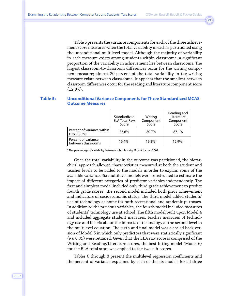Table 5 presents the variance components for each of the three achievement score measures when the total variability in each is partitioned using the unconditional multilevel model. Although the majority of variability in each measure exists among students within classrooms, a significant proportion of the variability in achievement lies between classrooms. The largest classroom-to-classroom differences occur for the writing component measure; almost 20 percent of the total variability in the writing measure exists between classrooms. It appears that the smallest between classroom differences occur for the reading and literature component score (12.9%).

#### **Table 5: Unconditional Variance Components for Three Standardized MCAS Outcome Measures**

|                                           | Standardized<br><b>ELA Total Raw</b><br>Score | Writing<br>Component<br>Score | Reading and<br>Literature<br>Component<br>Score |
|-------------------------------------------|-----------------------------------------------|-------------------------------|-------------------------------------------------|
| Percent of variance within<br>classrooms  | 83.6%                                         | 80.7%                         | 87.1%                                           |
| Percent of variance<br>between classrooms | $16.4\%$ <sup>‡</sup>                         | $19.3\%$ <sup>‡</sup>         | $12.9\%$ <sup>‡</sup>                           |

‡ The percentage of variability between schools is significant for p < 0.001.

Once the total variability in the outcome was partitioned, the hierarchical approach allowed characteristics measured at both the student and teacher levels to be added to the models in order to explain some of the available variance. Six multilevel models were constructed to estimate the impact of different categories of predictor variables independently. The first and simplest model included only third grade achievement to predict fourth grade scores. The second model included both prior achievement and indicators of socioeconomic status. The third model added students' use of technology at home for both recreational and academic purposes. In addition to the previous variables, the fourth model included measures of students' technology use at school. The fifth model built upon Model 4 and included aggregate student measures, teacher measures of technology use and beliefs about the impacts of technology at the second level in the multilevel equation. The sixth and final model was a scaled back version of Model 5 in which only predictors that were statistically significant (*p* ≤ 0.05) were retained. Given that the ELA raw score is comprised of the Writing and Reading/Literature scores, the best fitting model (Model 6) for the ELA total score was applied to the two sub-scores.

Tables 6 through 8 present the multilevel regression coefficients and the percent of variance explained by each of the six models for all three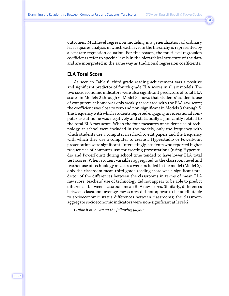outcomes. Multilevel regression modeling is a generalization of ordinary least squares analysis in which each level in the hierarchy is represented by a separate regression equation. For this reason, the multilevel regression coefficients refer to specific levels in the hierarchical structure of the data and are interpreted in the same way as traditional regression coefficients.

# **ELA Total Score**

As seen in Table 6, third grade reading achievement was a positive and significant predictor of fourth grade ELA scores in all six models. The two socioeconomic indicators were also significant predictors of total ELA scores in Models 2 through 6. Model 3 shows that students' academic use of computers at home was only weakly associated with the ELA raw score; the coefficient was close to zero and non-significant in Models 3 through 5. The frequency with which students reported engaging in recreational computer use at home was negatively and statistically significantly related to the total ELA raw score. When the four measures of student use of technology at school were included in the models, only the frequency with which students use a computer in school to edit papers and the frequency with which they use a computer to create a Hyperstudio or PowerPoint presentation were significant. Interestingly, students who reported higher frequencies of computer use for creating presentations (using Hyperstudio and PowerPoint) during school time tended to have lower ELA total test scores. When student variables aggregated to the classroom level and teacher use of technology measures were included in the model (Model 5), only the classroom mean third grade reading score was a significant predictor of the differences between the classrooms in terms of mean ELA raw score; teachers' use of technology did not appear to be able to predict differences between classroom mean ELA raw scores. Similarly, differences between classroom average raw scores did not appear to be attributable to socioeconomic status differences between classrooms; the classroom aggregate socioeconomic indicators were non-significant at level-2.

*(Table 6 is shown on the following page.)*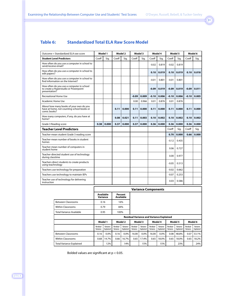## **Table 6: Standardized Total ELA Raw Score Model**

| Outcome = Standardized ELA raw score                                                                  |       | Model 1 |       | Model 2 |         | Model 3 |         | Model 4 |         | Model 5 |         | Model 6 |
|-------------------------------------------------------------------------------------------------------|-------|---------|-------|---------|---------|---------|---------|---------|---------|---------|---------|---------|
| <b>Student Level Predictors</b>                                                                       | Coeff | Sig.    | Coeff | Sig.    | Coeff   | Sig.    | Coeff   | Sig.    | Coeff   | Sig.    | Coeff   | Sig.    |
| How often do you use a computer in school to<br>send/receive email?                                   |       |         |       |         |         |         | $-0.02$ | 0.819   | $-0.02$ | 0.819   |         |         |
| How often do you use a computer in school to<br>edit papers?                                          |       |         |       |         |         |         | 0.10    | 0.019   | 0.10    | 0.019   | 0.10    | 0.018   |
| How often do you use a computer in school to<br>find information on the Internet?                     |       |         |       |         |         |         | $-0.01$ | 0.801   | $-0.01$ | 0.801   |         |         |
| How often do you use a computer in school<br>to create a Hyperstudio or Powerpoint<br>presentation?   |       |         |       |         |         |         | $-0.09$ | 0.019   | $-0.09$ | 0.019   | $-0.09$ | 0.011   |
| <b>Recreational Home Use</b>                                                                          |       |         |       |         | $-0.09$ | 0.009   | $-0.10$ | 0.006   | $-0.10$ | 0.006   | $-0.10$ | 0.005   |
| Academic Home Use                                                                                     |       |         |       |         | 0.00    | 0.966   | 0.01    | 0.876   | 0.01    | 0.876   |         |         |
| About how many books of your own do you<br>have at home, not counting school books or<br>comic books? |       |         | 0.11  | 0.000   | 0.11    | 0.000   | 0.11    | 0.000   | 0.11    | 0.000   | 0.11    | 0.000   |
| How many computers, if any, do you have at<br>home?                                                   |       |         | 0.08  | 0.021   | 0.11    | 0.003   | 0.10    | 0.002   | 0.10    | 0.002   | 0.10    | 0.002   |
| Grade 3 Reading score                                                                                 | 0.38  | 0.000   | 0.37  | 0.000   | 0.37    | 0.000   | 0.36    | 0.000   | 0.36    | 0.000   | 0.36    | 0.000   |
| <b>Teacher Level Predictors</b>                                                                       |       |         |       |         |         |         |         |         | Coeff   | Sig.    | Coeff   | Sig.    |
| Teacher-mean student Grade 3 reading score                                                            |       |         |       |         |         |         |         |         | 0.70    | 0.000   | 0.66    | 0.000   |
| Teacher-mean number of books in student<br>homes                                                      |       |         |       |         |         |         |         |         | $-0.12$ | 0.435   |         |         |
| Teacher-mean number of computers in<br>student home                                                   |       |         |       |         |         |         |         |         | 0.06    | 0.727   |         |         |
| Teacher-directed student use of technology<br>during classtime                                        |       |         |       |         |         |         |         |         | 0.00    | 0.977   |         |         |
| Teachers direct students to create products<br>using teachnology                                      |       |         |       |         |         |         |         |         | $-0.05$ | 0.513   |         |         |
| Teachers use technology for preparation                                                               |       |         |       |         |         |         |         |         | $-0.02$ | 0.662   |         |         |
| Teachers use technology to maintain IEPs                                                              |       |         |       |         |         |         |         |         | $-0.07$ | 0.253   |         |         |
| Teacher use of technology for delivering<br>instruction                                               |       |         |       |         |         |         |         |         | 0.03    | 0.586   |         |         |

|                                 |                      |                                                             |                      |                       |                      | <b>Variance Components</b> |                      |                       |                      |                       |                      |                       |  |
|---------------------------------|----------------------|-------------------------------------------------------------|----------------------|-----------------------|----------------------|----------------------------|----------------------|-----------------------|----------------------|-----------------------|----------------------|-----------------------|--|
|                                 |                      | <b>Available</b><br>Percent<br><b>Available</b><br>Variance |                      |                       |                      |                            |                      |                       |                      |                       |                      |                       |  |
| <b>Between Classrooms</b>       |                      | 0.16<br>16%                                                 |                      |                       |                      |                            |                      |                       |                      |                       |                      |                       |  |
| <b>Within Classrooms</b>        |                      | 0.79                                                        |                      | 84%                   |                      |                            |                      |                       |                      |                       |                      |                       |  |
| <b>Total Variance Available</b> |                      | 0.95                                                        | 100%                 |                       |                      |                            |                      |                       |                      |                       |                      |                       |  |
|                                 |                      | <b>Residual Variance and Variance Explained</b>             |                      |                       |                      |                            |                      |                       |                      |                       |                      |                       |  |
|                                 | Model 1              |                                                             |                      | Model 2               | Model 3              |                            | Model 4              |                       | Model 5              |                       | Model 6              |                       |  |
|                                 | Residual<br>Variance | Variance<br>Explained                                       | Residual<br>Variance | Variance<br>Explained | Residual<br>Variance | Variance<br>Explained      | Residual<br>Variance | Variance<br>Explained | Residual<br>Variance | Variance<br>Explained | Residual<br>Variance | Variance<br>Explained |  |
| <b>Between Classrooms</b>       | 0.16                 | 0.0%                                                        | 0.16                 | 0.0%                  | 16.00                | 0.0%                       | 16.00                | $0.0\%$               | 0.08                 | 48.8%                 | 0.07                 | 53.1%                 |  |
| <b>Within Classrooms</b>        | 0.68                 | 14.7%                                                       | 0.66                 | 16.7%                 | 0.65                 | 17.4%                      | 0.65                 | 18.0%                 | 0.65                 | 18.0%                 | 0.65                 | 18.2%                 |  |
| <b>Total Variance Explained</b> |                      | 12%                                                         |                      | 14%                   |                      | 15%                        |                      | 15%                   |                      | 23%                   |                      | 24%                   |  |

Bolded values are significant at p < 0.05.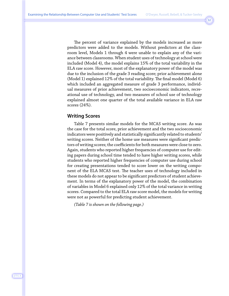The percent of variance explained by the models increased as more predictors were added to the models. Without predictors at the classroom level, Models 1 through 4 were unable to explain any of the variance between classrooms. When student uses of technology at school were included (Model 4), the model explains 15% of the total variability in the ELA raw score. However, most of the explanatory power of the model was due to the inclusion of the grade 3 reading score; prior achievement alone (Model 1) explained 12% of the total variability. The final model (Model 6) which included an aggregated measure of grade 3 performance, individual measures of prior achievement, two socioeconomic indicators, recreational use of technology, and two measures of school use of technology explained almost one quarter of the total available variance in ELA raw scores (24%).

## **Writing Scores**

Table 7 presents similar models for the MCAS writing score. As was the case for the total score, prior achievement and the two socioeconomic indicators were positively and statistically significantly related to students' writing scores. Neither of the home use measures were significant predictors of writing scores; the coefficients for both measures were close to zero. Again, students who reported higher frequencies of computer use for editing papers during school time tended to have higher writing scores, while students who reported higher frequencies of computer use during school for creating presentations tended to score lower on the writing component of the ELA MCAS test. The teacher uses of technology included in these models do not appear to be significant predictors of student achievement. In terms of the explanatory power of the model, the combination of variables in Model 6 explained only 12% of the total variance in writing scores. Compared to the total ELA raw score model, the models for writing were not as powerful for predicting student achievement.

*(Table 7 is shown on the following page.)*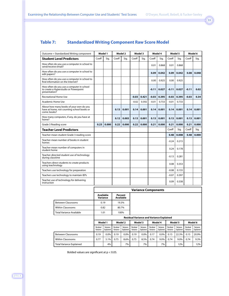# **Table 7: Standardized Writing Component Raw Score Model**

| Outcome = Standardized Writing component                                                              |       | Model 1 |       | Model 2 |         | Model 3 |         | Model 4 |         | Model 5 |         | Model 6 |
|-------------------------------------------------------------------------------------------------------|-------|---------|-------|---------|---------|---------|---------|---------|---------|---------|---------|---------|
| <b>Student Level Predictors</b>                                                                       | Coeff | Sia.    | Coeff | Sig.    | Coeff   | Sig.    | Coeff   | Sig.    | Coeff   | Sig.    | Coeff   | Sig.    |
| How often do you use a computer in school to<br>send/receive email?                                   |       |         |       |         |         |         | 0.01    | 0.868   | 0.01    | 0.868   |         |         |
| How often do you use a computer in school to<br>edit papers?                                          |       |         |       |         |         |         | 0.09    | 0.042   | 0.09    | 0.042   | 0.08    | 0.048   |
| How often do you use a computer in school to<br>find information on the Internet?                     |       |         |       |         |         |         | 0.00    | 0.925   | 0.00    | 0.925   |         |         |
| How often do you use a computer in school<br>to create a Hyperstudio or Powerpoint<br>presentation?   |       |         |       |         |         |         | $-0.11$ | 0.027   | $-0.11$ | 0.027   | $-0.11$ | 0.02    |
| <b>Recreational Home Use</b>                                                                          |       |         |       |         | $-0.03$ | 0.421   | $-0.03$ | 0.395   | $-0.03$ | 0.395   | $-0.03$ | 0.34    |
| <b>Academic Home Use</b>                                                                              |       |         |       |         | $-0.02$ | 0.592   | $-0.01$ | 0.733   | $-0.01$ | 0.733   |         |         |
| About how many books of your own do you<br>have at home, not counting school books or<br>comic books? |       |         | 0.13  | 0.001   | 0.14    | 0.001   | 0.14    | 0.001   | 0.14    | 0.001   | 0.14    | 0.001   |
| How many computers, if any, do you have at<br>home?                                                   |       |         | 0.12  | 0.003   | 0.13    | 0.001   | 0.13    | 0.001   | 0.13    | 0.001   | 0.13    | 0.001   |
| Grade 3 Reading score                                                                                 | 0.23  | 0.000   | 0.22  | 0.000   | 0.22    | 0.000   | 0.21    | 0.000   | 0.21    | 0.000   | 0.21    | 0.000   |
| <b>Teacher Level Predictors</b>                                                                       |       |         |       |         |         |         |         |         | Coeff   | Sig.    | Coeff   | Sig.    |
| Teacher-mean student Grade 3 reading score                                                            |       |         |       |         |         |         |         |         | 0.48    | 0.008   | 0.48    | 0.000   |
| Teacher-mean number of books in student<br>homes                                                      |       |         |       |         |         |         |         |         | $-0.24$ | 0.215   |         |         |
| Teacher-mean number of computers in<br>student home                                                   |       |         |       |         |         |         |         |         | 0.24    | 0.178   |         |         |
| Teacher-directed student use of technology<br>during classtime                                        |       |         |       |         |         |         |         |         | $-0.13$ | 0.281   |         |         |
| Teachers direct students to create products<br>using teachnology                                      |       |         |       |         |         |         |         |         | 0.08    | 0.353   |         |         |
| Teachers use technology for preparation                                                               |       |         |       |         |         |         |         |         | $-0.08$ | 0.155   |         |         |
| Teachers use technology to maintain IEPs                                                              |       |         |       |         |         |         |         |         | $-0.07$ | 0.397   |         |         |
| Teacher use of technology for delivering<br>instruction                                               |       |         |       |         |         |         |         |         | 0.09    | 0.338   |         |         |

|                                 |                                                 |                                                      |                      |                       |                      | <b>Variance Components</b> |                      |                       |                      |                       |                      |                       |
|---------------------------------|-------------------------------------------------|------------------------------------------------------|----------------------|-----------------------|----------------------|----------------------------|----------------------|-----------------------|----------------------|-----------------------|----------------------|-----------------------|
|                                 |                                                 | <b>Available</b><br>Percent<br>Available<br>Variance |                      |                       |                      |                            |                      |                       |                      |                       |                      |                       |
| <b>Between Classrooms</b>       |                                                 | 0.19<br>19.3%                                        |                      |                       |                      |                            |                      |                       |                      |                       |                      |                       |
| <b>Within Classrooms</b>        |                                                 | 0.82                                                 |                      | 80.7%                 |                      |                            |                      |                       |                      |                       |                      |                       |
| Total Variance Available        |                                                 | 1.01                                                 |                      | 100%                  |                      |                            |                      |                       |                      |                       |                      |                       |
|                                 | <b>Residual Variance and Variance Explained</b> |                                                      |                      |                       |                      |                            |                      |                       |                      |                       |                      |                       |
|                                 |                                                 | Model 1                                              |                      | Model 2               | Model 3              |                            | Model 4              |                       | Model 5              |                       | Model 6              |                       |
|                                 | Residual<br>Variance                            | Variance<br>Explained                                | Residual<br>Variance | Variance<br>Explained | Residual<br>Variance | Variance<br>Explained      | Residual<br>Variance | Variance<br>Explained | Residual<br>Variance | Variance<br>Explained | Residual<br>Variance | Variance<br>Explained |
| <b>Between Classrooms</b>       | 0.19                                            | 0.0%                                                 | 0.19                 | 0.0%                  | 0.19                 | 0.0%                       | 0.17                 | 0.0%                  | 0.15                 | 22.3%                 | 0.15                 | 20.9%                 |
| <b>Within Classrooms</b>        | 0.77                                            | 5.1%                                                 | 0.75                 | 8.6%                  | 0.75                 | 8.5%                       | 0.74                 | 9.0%                  | 0.74                 | 9.0%                  | 0.74                 | 9.3%                  |
| <b>Total Variance Explained</b> |                                                 | 4%                                                   |                      | 7%                    |                      | 7%                         |                      | 7%                    |                      | 12%                   |                      | 12%                   |

Bolded values are significant at p < 0.05.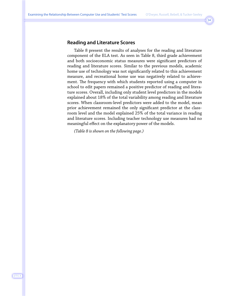# **Reading and Literature Scores**

Table 8 present the results of analyses for the reading and literature component of the ELA test. As seen in Table 8, third grade achievement and both socioeconomic status measures were significant predictors of reading and literature scores. Similar to the previous models, academic home use of technology was not significantly related to this achievement measure, and recreational home use was negatively related to achievement. The frequency with which students reported using a computer in school to edit papers remained a positive predictor of reading and literature scores. Overall, including only student level predictors in the models explained about 18% of the total variability among reading and literature scores. When classroom-level predictors were added to the model, mean prior achievement remained the only significant predictor at the classroom level and the model explained 25% of the total variance in reading and literature scores. Including teacher technology use measures had no meaningful effect on the explanatory power of the models.

*(Table 8 is shown on the following page.)*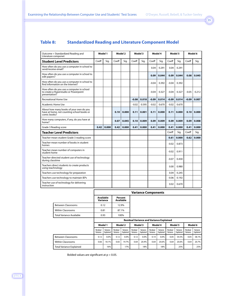# **Table 8: Standardized Reading and Literature Component Model**

| Outcome = Standardized Reading and<br>Literature componet                                             |       | Model 1 |       | Model 2 |         | Model 3 |         | Model 4 |         | Model 5 |         | Model 6 |
|-------------------------------------------------------------------------------------------------------|-------|---------|-------|---------|---------|---------|---------|---------|---------|---------|---------|---------|
| <b>Student Level Predictors</b>                                                                       | Coeff | Sig.    | Coeff | Sig.    | Coeff   | Sig.    | Coeff   | Sig.    | Coeff   | Sig.    | Coeff   | Sig.    |
| How often do you use a computer in school to<br>send/receive email?                                   |       |         |       |         |         |         | 0.04    | 0.291   | 0.04    | 0.291   |         |         |
| How often do you use a computer in school to<br>edit papers?                                          |       |         |       |         |         |         | 0.09    | 0.044   | 0.09    | 0.044   | 0.08    | 0.045   |
| How often do you use a computer in school to<br>find information on the Internet?                     |       |         |       |         |         |         | $-0.04$ | 0.392   | $-0.04$ | 0.392   |         |         |
| How often do you use a computer in school<br>to create a Hyperstudio or Powerpoint<br>presentation?   |       |         |       |         |         |         | $-0.04$ | 0.327   | $-0.04$ | 0.327   | $-0.05$ | 0.212   |
| <b>Recreational Home Use</b>                                                                          |       |         |       |         | $-0.08$ | 0.018   | $-0.09$ | 0.014   | $-0.09$ | 0.014   | $-0.09$ | 0.007   |
| Academic Home Use                                                                                     |       |         |       |         | $-0.02$ | 0.595   | $-0.02$ | 0.670   | $-0.02$ | 0.670   |         |         |
| About how many books of your own do you<br>have at home, not counting school books or<br>comic books? |       |         | 0.10  | 0.000   | 0.11    | 0.001   | 0.11    | 0.000   | 0.11    | 0.000   | 0.10    | 0.000   |
| How many computers, if any, do you have at<br>home?                                                   |       |         | 0.07  | 0.045   | 0.10    | 0.009   | 0.09    | 0.009   | 0.09    | 0.009   | 0.09    | 0.008   |
| Grade 3 Reading score                                                                                 | 0.42  | 0.000   | 0.42  | 0.000   | 0.41    | 0.000   | 0.41    | 0.000   | 0.41    | 0.000   | 0.41    | 0.000   |
| <b>Teacher Level Predictors</b>                                                                       |       |         |       |         |         |         |         |         | Coeff   | Sig.    | Coeff   | Sig.    |
| Teacher-mean student Grade 3 reading score                                                            |       |         |       |         |         |         |         |         | 0.61    | 0.000   | 0.62    | 0.000   |
| Teacher-mean number of books in student<br>homes                                                      |       |         |       |         |         |         |         |         | $-0.02$ | 0.873   |         |         |
| Teacher-mean number of computers in<br>student home                                                   |       |         |       |         |         |         |         |         | $-0.02$ | 0.911   |         |         |
| Teacher-directed student use of technology<br>during classtime                                        |       |         |       |         |         |         |         |         | $-0.07$ | 0.430   |         |         |
| Teachers direct students to create products<br>using teachnology                                      |       |         |       |         |         |         |         |         | 0.00    | 0.980   |         |         |
| Teachers use technology for preparation                                                               |       |         |       |         |         |         |         |         | 0.04    | 0.245   |         |         |
| Teachers use technology to maintain IEPs                                                              |       |         |       |         |         |         |         |         | $-0.06$ | 0.192   |         |         |
| Teacher use of technology for delivering<br>instruction                                               |       |         |       |         |         |         |         |         | 0.02    | 0.670   |         |         |

|                                 |                      |                                                 |                      |                       |                      | <b>Variance Components</b> |                      |                       |                      |                       |                      |                       |
|---------------------------------|----------------------|-------------------------------------------------|----------------------|-----------------------|----------------------|----------------------------|----------------------|-----------------------|----------------------|-----------------------|----------------------|-----------------------|
|                                 |                      | Available<br>Variance                           |                      | Percent<br>Available  |                      |                            |                      |                       |                      |                       |                      |                       |
| <b>Between Classrooms</b>       |                      | 0.12                                            |                      | 12.9%                 |                      |                            |                      |                       |                      |                       |                      |                       |
| <b>Within Classrooms</b>        |                      | 0.81                                            |                      | 87.1%                 |                      |                            |                      |                       |                      |                       |                      |                       |
| <b>Total Variance Available</b> |                      | 0.93                                            |                      | 100%                  |                      |                            |                      |                       |                      |                       |                      |                       |
|                                 |                      | <b>Residual Variance and Variance Explained</b> |                      |                       |                      |                            |                      |                       |                      |                       |                      |                       |
|                                 |                      | Model 1                                         |                      | Model 2               |                      | Model 3                    |                      | Model 4               |                      | Model 5               |                      | Model 6               |
|                                 | Residual<br>Variance | Variance<br>Explained                           | Residual<br>Variance | Variance<br>Explained | Residual<br>Variance | Variance<br>Explained      | Residual<br>Variance | Variance<br>Explained | Residual<br>Variance | Variance<br>Explained | Residual<br>Variance | Variance<br>Explained |
| <b>Between Classrooms</b>       | 0.12                 | 0.0%                                            | 0.12                 | 0.0%                  | 0.12                 | 0.0%                       | 0.14                 | 0.0%                  | 0.05                 | 54.5%                 | 0.05                 | 58.1%                 |
| <b>Within Classrooms</b>        | 0.66                 | 18.1%                                           | 0.65                 | 19.7%                 | 0.64                 | 20.4%                      | 0.64                 | 20.6%                 | 0.64                 | 20.6%                 | 0.64                 | 20.7%                 |
| <b>Total Variance Explained</b> |                      | 16%                                             |                      | 17%                   |                      | 18%                        |                      | 18%                   |                      | 25%                   |                      | 25%                   |

Bolded values are significant at p < 0.05.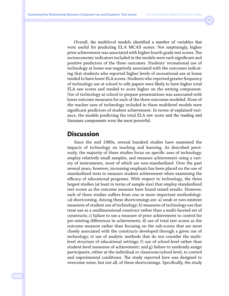Overall, the multilevel models identified a number of variables that were useful for predicting ELA MCAS scores. Not surprisingly, higher prior achievement was associated with higher fourth grade test scores. The socioeconomic indicators included in the models were each significant and positive predictors of the three outcomes. Students' recreational use of technology at home was negatively associated with the outcomes indicating that students who reported higher levels of recreational use at home tended to have lower ELA scores. Students who reported greater frequency of technology use at school to edit papers were likely to have higher total ELA raw scores and tended to score higher on the writing component. Use of technology at school to prepare presentations was associated with lower outcome measures for each of the three outcomes modeled. None of the teacher uses of technology included in these multilevel models were significant predictors of student achievement. In terms of explained variance, the models predicting the total ELA raw score and the reading and literature components were the most powerful.

# **Discussion**

Since the mid 1980s, several hundred studies have examined the impacts of technology on teaching and learning. As described previously, the majority of these studies focus on specific uses of technology, employ relatively small samples, and measure achievement using a variety of instruments, most of which are non-standardized. Over the past several years, however, increasing emphasis has been placed on the use of standardized tests to measure student achievement when examining the efficacy of educational programs. With respect to technology, the three largest studies (at least in terms of sample size) that employ standardized test scores as the outcome measure have found mixed results. However, each of these studies suffers from one or more important methodological shortcoming. Among these shortcomings are: a) weak or non-existent measures of student use of technology; b) measures of technology use that treat use as a unidimensional construct rather than a multi-faceted set of constructs; c) failure to use a measure of prior achievement to control for pre-existing differences in achievement; d) use of total test scores as the outcome measure rather than focusing on the sub-scores that are most closely associated with the constructs developed through a given use of technology; e) use of analytic methods that do not consider the multilevel structure of educational settings; f) use of school-level rather than student-level measures of achievement; and g) failure to randomly assign participants, either at the individual or classroom/school level, to control and experimental conditions. The study reported here was designed to overcome some, but not all, of these shortcomings. Specifically, the study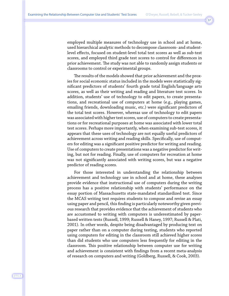employed multiple measures of technology use in school and at home, used hierarchical analytic methods to decompose classroom- and studentlevel effects, focused on student-level total test scores as well as sub-test scores, and employed third grade test scores to control for differences in prior achievement. The study was not able to randomly assign students or classrooms to control or experimental groups.

The results of the models showed that prior achievement and the proxies for social economic status included in the models were statistically significant predictors of students' fourth grade total English/language arts scores, as well as their writing and reading and literature test scores. In addition, students' use of technology to edit papers, to create presentations, and recreational use of computers at home (e.g., playing games, emailing friends, downloading music, etc.) were significant predictors of the total test scores. However, whereas use of technology to edit papers was associated with higher test scores, use of computers to create presentations or for recreational purposes at home was associated with lower total test scores. Perhaps more importantly, when examining sub-test scores, it appears that these uses of technology are not equally useful predictors of achievement across writing and reading skills. Specifically, use of computers for editing was a significant positive predictor for writing and reading. Use of computers to create presentations was a negative predictor for writing, but not for reading. Finally, use of computers for recreation at home was not significantly associated with writing scores, but was a negative predictor of reading scores.

For those interested in understanding the relationship between achievement and technology use in school and at home, these analyses provide evidence that instructional use of computers during the writing process has a positive relationship with students' performance on the essay portion of Massachusetts state-mandated standardized test. Since the MCAS writing test requires students to compose and revise an essay using paper and pencil, this finding is particularly noteworthy given previous research that provides evidence that the achievement of students who are accustomed to writing with computers is underestimated by paperbased written tests (Russell, 1999; Russell & Haney, 1997; Russell & Plati, 2001). In other words, despite being disadvantaged by producing text on paper rather than on a computer during testing, students who reported using computers for editing in the classroom still achieved higher scores than did students who use computers less frequently for editing in the classroom. This positive relationship between computer use for writing and achievement is consistent with findings from a recent meta-analysis of research on computers and writing (Goldberg, Russell, & Cook, 2003).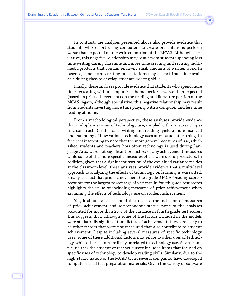In contrast, the analyses presented above also provide evidence that students who report using computers to create presentations perform worse than expected on the written portion of the MCAS. Although speculative, this negative relationship may result from students spending less time writing during classtime and more time creating and revising multimedia products that contain relatively small amounts of written work. In essence, time spent creating presentations may detract from time available during class to develop students' writing skills.

Finally, these analyses provide evidence that students who spend more time recreating with a computer at home perform worse than expected (based on prior achievement) on the reading and literature portion of the MCAS. Again, although speculative, this negative relationship may result from students investing more time playing with a computer and less time reading at home.

From a methodological perspective, these analyses provide evidence that multiple measures of technology use, coupled with measures of specific constructs (in this case, writing and reading) yield a more nuanced understanding of how various technology uses affect student learning. In fact, it is interesting to note that the more general measures of use, which asked students and teachers how often technology is used during Language Arts, were not significant predictors of any achievement measures while some of the more specific measures of use were useful predictors. In addition, given that a significant portion of the explained variance resides at the classroom level, these analyses provide evidence that a multi-level approach to analyzing the effects of technology on learning is warranted. Finally, the fact that prior achievement (i.e., grade 3 MCAS reading scores) accounts for the largest percentage of variance in fourth grade test scores highlights the value of including measures of prior achievement when examining the effects of technology use on student achievement.

Yet, it should also be noted that despite the inclusion of measures of prior achievement and socioeconomic status, none of the analyses accounted for more than 25% of the variance in fourth grade test scores. This suggests that, although some of the factors included in the models were statistically significant predictors of achievement, there are likely to be other factors that were not measured that also contribute to student achievement. Despite including several measures of specific technology uses, some of these additional factors may relate to other uses of technology, while other factors are likely unrelated to technology use. As an example, neither the student or teacher survey included items that focused on specific uses of technology to develop reading skills. Similarly, due to the high-stakes nature of the MCAS tests, several companies have developed computer-based test preparation materials. Given the variety of software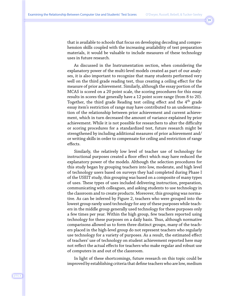that is available to schools that focus on developing decoding and comprehension skills coupled with the increasing availability of test preparation materials, it would be valuable to include measures of these technology uses in future research.

As discussed in the Instrumentation section, when considering the explanatory power of the multi-level models created as part of our analyses, it is also important to recognize that many students performed very well on the third grade reading test, thus creating a ceiling effect for the measure of prior achievement. Similarly, although the essay portion of the MCAS is scored on a 20 point scale, the scoring procedures for this essay results in scores that generally have a 12 point score range (from 8 to 20). Together, the third grade Reading test ceiling effect and the 4<sup>th</sup> grade essay item's restriction of range may have contributed to an underestimation of the relationship between prior achievement and current achievement, which in turn decreased the amount of variance explained by prior achievement. While it is not possible for researchers to alter the difficulty or scoring procedures for a standardized test, future research might be strengthened by including additional measures of prior achievement and/ or writing skills in order to compensate for ceiling and restriction of range effects.

Similarly, the relatively low level of teacher use of technology for instructional purposes created a floor effect which may have reduced the explanatory power of the models. Although the selection procedures for this study began by grouping teachers into low, moderate, and high level of technology users based on surveys they had completed during Phase I of the USEIT study, this grouping was based on a composite of many types of uses. These types of uses included delivering instruction, preparation, communicating with colleagues, and asking students to use technology in the classroom and to create products. Moreover, this grouping was normative. As can be inferred by Figure 2, teachers who were grouped into the lowest group rarely used technology for any of these purposes while teachers in the middle group generally used technology for these purposes only a few times per year. Within the high group, few teachers reported using technology for these purposes on a daily basis. Thus, although normative comparisons allowed us to form three distinct groups, many of the teachers placed in the high-level group do not represent teachers who regularly use technology for a variety of purposes. As a result, the estimated effect of teachers' use of technology on student achievement reported here may not reflect the actual effects for teachers who make regular and robust use of computers in and out of the classroom.

In light of these shortcomings, future research on this topic could be improved by establishing criteria that define teachers who are low, medium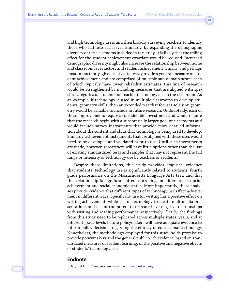and high technology users and then broadly surveying teachers to identify those who fall into each level. Similarly, by expanding the demographic diversity of the classrooms included in the study, it is likely that the ceiling effect for the student achievement covariate would be reduced. Increased demographic diversity might also increase the relationship between home and classroom level factors and student achievement. Finally, and perhaps most importantly, given that state tests provide a general measure of student achievement and are comprised of multiple sub-domain scores each of which typically have lower reliability estimates, this line of research would be strengthened by including measures that are aligned with specific categories of student and teacher technology use in the classroom. As an example, if technology is used in multiple classrooms to develop students' geometry skills, then an extended test that focuses solely on geometry would be valuable to include in future research. Undoubtedly, each of these improvements requires considerable investment and would require that the research begin with a substantially larger pool of classrooms and would include survey instruments that provide more detailed information about the content and skills that technology is being used to develop. Similarly, achievement instruments that are aligned with these uses would need to be developed and validated prior to use. Until such investments are made, however, researchers will have little options other than the use of existing standardized tests and samples that may not represent the full range or intensity of technology use by teachers or students.

Despite these limitations, this study provides empirical evidence that students' technology use is significantly related to students' fourth grade performance on the Massachusetts Language Arts test, and that this relationship is significant after controlling for differences in prior achievement and social economic status. More importantly, these analyses provide evidence that different types of technology use affect achievement in different ways. Specifically, use for writing has a positive effect on writing achievement, while use of technology to create multimedia presentations and use of computers to recreate have negative relationships with writing and reading performance, respectively. Clearly, the findings from this study need to be replicated across multiple states, years, and at different grade levels before policymakers will have adequate evidence to inform policy decisions regarding the efficacy of educational technology. Nonetheless, the methodology employed for this study holds promise to provide policymakers and the general public with evidence, based on standardized measures of student learning, of the positive and negative effects of students' technology use.

## **Endnote**

<sup>1</sup> Original USEIT surveys are available at [www.intasc.org]( http://www.intasc.org ).

J·T·L·A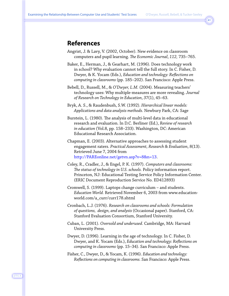# **References**

- Angrist, J. & Lavy, V. (2002, October). New evidence on classroom computers and pupil learning. *The Economic Journal*, *112,* 735–765.
- Baker, E., Herman, J., & Gearhart, M. (1996). Does technology work in school? Why evaluation cannot tell the full story. In C. Fisher, D. Dwyer, & K. Yocam (Eds.), *Education and technology: Reflections on computing in classrooms* (pp. 185–202). San Francisco: Apple Press.
- Bebell, D., Russell, M., & *O'Dwyer, L.M.* (2004). Measuring teachers' technology uses: Why multiple-measures are more revealing. *Journal of Research on Technology in Education*, *37*(1), 45–63.
- Bryk, A. S., & Raudenbush, S.W. (1992). *Hierarchical linear models: Applications and data analysis methods.* Newbury Park, CA: Sage
- Burstein, L. (1980). The analysis of multi-level data in educational research and evaluation. In D.C. Berliner (Ed.), *Review of research in education* (Vol.8, pp. 158–233). Washington, DC: American Educational Research Association.
- Chapman, E. (2003). Alternative approaches to assessing student engagement raters. *Practical Assessment, Research & Evaluation*, 8(13). Retrieved June 7, 2004 from [http://PAREonline.net/getvn.asp?v=8&n=13.](http://PAREonline.net/getvn.asp?v=8&n=13)
- Coley, R., Cradler, J., & Engel, P. K. (1997). *Computers and classrooms: The status of technology in U.S. schools.* Policy information report. Princeton, NJ: Educational Testing Service Policy Information Center. (ERIC Document Reproduction Service No. ED412893)
- Cromwell, S. (1999). Laptops change curriculum and students. *Education World.* Retrieved November 6, 2003 from www.educationworld.com/a\_curr/curr178.shtml
- Cronbach, L.J. (1976). *Research on classrooms and schools: Formulation of questions, design, and analysis* (Occasional paper). Stanford, CA: Stanford Evaluation Consortium, Stanford University.
- Cuban, L. (2001). *Oversold and underused.* Cambridge, MA: Harvard University Press.
- Dwyer, D. (1996). Learning in the age of technology. In C. Fisher, D. Dwyer, and K. Yocam (Eds.), *Education and technology: Reflections on computing in classrooms* (pp. 15–34). San Francisco: Apple Press.
- Fisher, C., Dwyer, D., & Yocam, K. (1996). *Education and technology: Reflections on computing in classrooms.* San Francisco: Apple Press.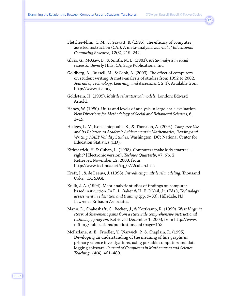```
42
```
- Fletcher-Flinn, C. M., & Gravatt, B. (1995). The efficacy of computer assisted instruction (CAI): A meta-analysis. *Journal of Educational Computing Research, 12*(3), 219–242.
- Glass, G., McGaw, B., & Smith, M. L. (1981). *Meta-analysis in social research.* Beverly Hills, CA; Sage Publications, Inc.
- Goldberg, A., Russell, M., & Cook, A. (2003). The effect of computers on student writing: A meta-analysis of studies from 1992 to 2002. *Journal of Technology, Learning, and Assessment,* 2 (I). Available from http://www/jtla.org
- Goldstein, H. (1995). *Multilevel statistical models.* London: Edward Arnold.
- Haney, W. (1980). Units and levels of analysis in large-scale evaluation. *New Directions for Methodology of Social and Behavioral Sciences,* 6, 1–15.
- Hedges, L. V., Konstantopoulis, S., & Thoreson, A. (2003). *Computer Use and Its Relation to Academic Achievement in Mathematics, Reading and Writing. NAEP Validity Studies.* Washington, DC: National Center for Education Statistics (ED).
- Kirkpatrick, H. & Cuban, L. (1998). Computers make kids smarter right? [Electronic version]. *Technos Quarterly*, v7, No. 2. Retrieved November 12, 2003, from http://www.technos.net/tq\_07/2cuban.htm
- Kreft, I., & de Leeuw, J. (1998). *Introducing multilevel modeling*. Thousand Oaks, CA: SAGE.
- Kulik, J. A. (1994). Meta-analytic studies of findings on computerbased instruction. In E. L. Baker & H. F. O'Neil, Jr. (Eds.), *Technology assessment in education and training* (pp. 9–33). Hillsdale, NJ: Lawrence Erlbaum Associates.
- Mann, D., Shakeshaft, C., Becker, J., & Kottkamp, R. (1999). *West Virginia story: Achievement gains from a statewide comprehensive instructional technology program.* Retrieved December 1, 2003, from http://www. mff.org/publications/publications.taf?page=155
- McFarlane, A. E., Friedler, Y., Warwick, P., & Chaplain, R. (1995). Developing an understanding of the meaning of line graphs in primary science investigations, using portable computers and data logging software. *Journal of Computers in Mathematics and Science Teaching, 14*(4), 461–480.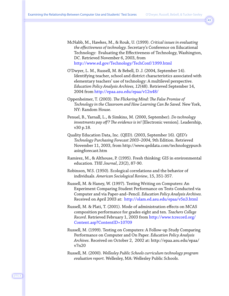McNabb, M., Hawkes, M., & Rouk, U. (1999). *Critical issues in evaluating the effectiveness of technology.* Secretary's Conference on Educational Technology: Evaluating the Effectiveness of Technology, Washington, DC. Retrieved November 6, 2003, from http://www.ed.gov/Technology/TechConf/1999.html

- O'Dwyer, L. M., Russell, M. & Bebell, D. J. (2004, September 14). Identifying teacher, school and district characteristics associated with elementary teachers' use of technology: A multilevel perspective. *Education Policy Analysis Archives, 12*(48). Retrieved September 14, 2004 from <http://epaa.asu.edu/epaa/v12n48/>
- Oppenheimer, T. (2003). *The Flickering Mind: The False Promise of Technology in the Classroom and How Learning Can Be Saved.* New York, NY: Random House.
- Penuel, B., Yarnall, L., & Simkins, M. (2000, September). *Do technology investments pay off? The evidence is in!* [Electronic version]. Leadership, v30 p.18.
- Quality Education Data, Inc. (QED). (2003, September 16). *QED's Technology Purchasing Forecast 2003–2004*, 9th Edition. Retrieved November 11, 2003, from http://www.qeddata.com/technologypurch asingforecast.htm
- Ramirez, M., & Althouse, P. (1995). Fresh thinking: GIS in environmental education. *THE Journal*, *23*(2), 87-90.
- Robinson, W.S. (1950). Ecological correlations and the behavior of individuals. *American Sociological Review*, 15, 351-357.
- Russell, M. & Haney, W. (1997). Testing Writing on Computers: An Experiment Comparing Student Performance on Tests Conducted via Computer and via Paper-and–Pencil. *Education Policy Analysis Archives.* Received on April 2003 at: http://olam.ed.asu.edu/epaa/v5n3.html
- Russell, M. & Plati, T. (2001). Mode of administration effects on MCAS composition performance for grades eight and ten. *Teachers College Record*. Retrieved February 1, 2003 from http://www.tcrecord.org/ Content.asp?ContentID=10709
- Russell, M. (1999). Testing on Computers: A Follow-up Study Comparing Performance on Computer and On Paper. *Education Policy Analysis Archives*. Received on October 2, 2002 at: http://epaa.asu.edu/epaa/ v7n20
- Russell, M. (2000). *Wellesley Public Schools curriculum technology program evaluation report.* Wellesley, MA: Wellesley Public Schools.

J·T·L·A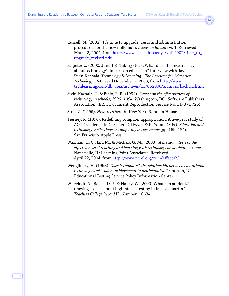- Russell, M. (2002). It's time to upgrade: Tests and administration procedures for the new millenium. *Essays in Education,* 1. Retrieved March 2, 2004, from [http://www.usca.edu/essays/vol12002/time\\_to\\_](http://www.usca.edu/essays/vol12002/time_to_upgrade_revised.pdf) [upgrade\\_revised.pdf](http://www.usca.edu/essays/vol12002/time_to_upgrade_revised.pdf)
- Salpeter, J. (2000, June 15). Taking stock: What does the research say about technology's impact on education? Interview with Jay Sivin-Kachala. *Technology & Learning – The Resource for Education Technology.* Retrieved November 7, 2003, from http://www. techlearning.com/db\_area/archives/TL/062000/archives/kachala.html
- Sivin-Kachala, J., & Bialo, E. R. (1994). *Report on the effectiveness of technology in schools, 1990–1994.* Washington, DC: Software Publishers Association. (ERIC Document Reproduction Service No. ED 371 726)
- Stoll, C. (1999). *High-tech heretic.* New York: Random House.
- Tierney, R. (1996). Redefining computer appropriation: A five-year study of ACOT students. In C. Fisher, D. Dwyer, & K. Yocam (Eds.), *Education and technology: Reflections on computing in classrooms* (pp. 169–184). San Francisco: Apple Press.
- Waxman, H. C., Lin, M., & Michko, G. M., (2003). *A meta-analysis of the effectiveness of teaching and learning with technology on student outcomes.* Naperville, IL: Learning Point Associates. Retrieved April 22, 2004, from <http://www.ncrel.org/tech/effects2/>
- Wenglinsky, H. (1998). *Does it compute? The relationship between educational technology and student achievement in mathematics.* Princeton, NJ: Educational Testing Service Policy Information Center.
- Wheelock, A., Bebell, D. J., & Haney, W. (2000) What can students' drawings tell us about high-stakes testing in Massachusetts? *Teachers College Record* ID Number: 10634.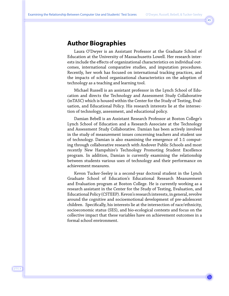# **Author Biographies**

Laura O'Dwyer is an Assistant Professor at the Graduate School of Education at the University of Massachusetts Lowell. Her research interests include the effects of organizational characteristics on individual outcomes, international comparative studies, and imputation procedures. Recently, her work has focused on international tracking practices, and the impacts of school organizational characteristics on the adoption of technology as a teaching and learning tool.

Michael Russell is an assistant professor in the Lynch School of Education and directs the Technology and Assessment Study Collaborative (inTASC) which is housed within the Center for the Study of Testing, Evaluation, and Educational Policy. His research interests lie at the intersection of technology, assessment, and educational policy.

Damian Bebell is an Assistant Research Professor at Boston College's Lynch School of Education and a Research Associate at the Technology and Assessment Study Collaborative. Damian has been actively involved in the study of measurement issues concerning teachers and student use of technology. Damian is also examining the emergence of 1:1 computing through collaborative research with Andover Public Schools and most recently New Hampshire's Technology Promoting Student Excellence program. In addition, Damian is currently examining the relationship between students various uses of technology and their performance on achievement measures.

Kevon Tucker-Seeley is a second-year doctoral student in the Lynch Graduate School of Education's Educational Research Measurement and Evaluation program at Boston College. He is currently working as a research assistant in the Center for the Study of Testing, Evaluation, and Educational Policy (CSTEEP). Kevon's research interests, in general, revolve around the cognitive and socioemotional development of pre-adolescent children. Specifically, his interests lie at the intersection of race/ethnicity, socioeconomic status (SES), and bio-ecological contexts and focus on the collective impact that these variables have on achievement outcomes in a formal school environment.